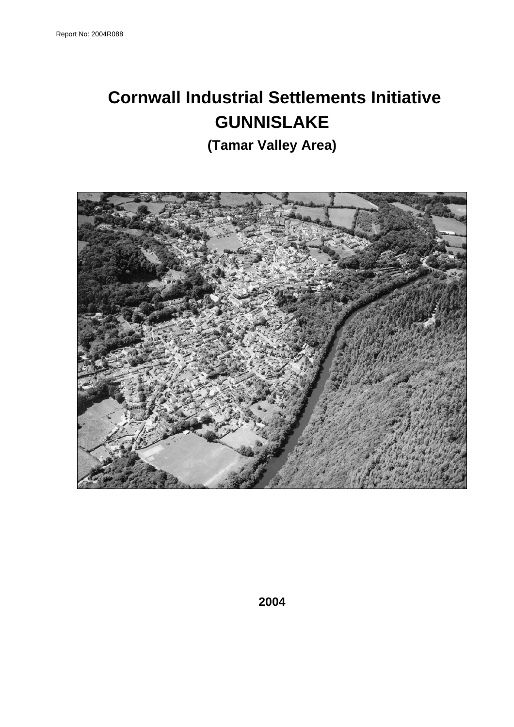# **Cornwall Industrial Settlements Initiative GUNNISLAKE**

**(Tamar Valley Area)** 

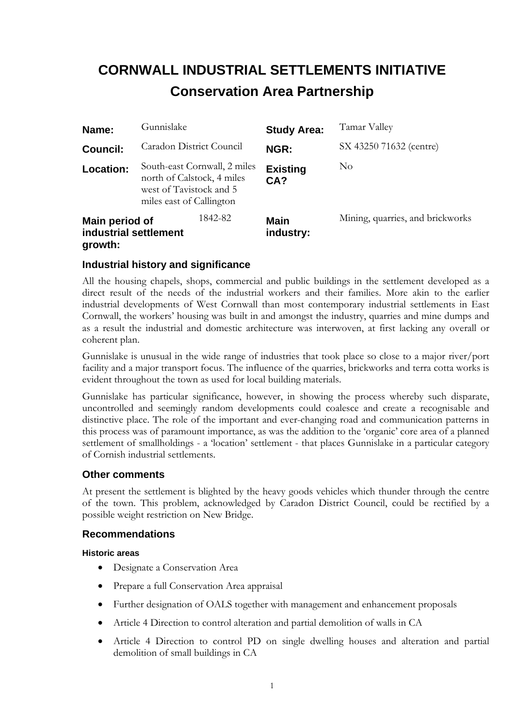## **CORNWALL INDUSTRIAL SETTLEMENTS INITIATIVE Conservation Area Partnership**

| Name:                                              | Gunnislake |                                                                                                                   | <b>Study Area:</b>       | Tamar Valley                     |
|----------------------------------------------------|------------|-------------------------------------------------------------------------------------------------------------------|--------------------------|----------------------------------|
| <b>Council:</b>                                    |            | Caradon District Council                                                                                          | <b>NGR:</b>              | SX 43250 71632 (centre)          |
| Location:                                          |            | South-east Cornwall, 2 miles<br>north of Calstock, 4 miles<br>west of Tavistock and 5<br>miles east of Callington | <b>Existing</b><br>CA?   | N <sub>o</sub>                   |
| Main period of<br>industrial settlement<br>growth: |            | 1842-82                                                                                                           | <b>Main</b><br>industry: | Mining, quarries, and brickworks |

#### **Industrial history and significance**

All the housing chapels, shops, commercial and public buildings in the settlement developed as a direct result of the needs of the industrial workers and their families. More akin to the earlier industrial developments of West Cornwall than most contemporary industrial settlements in East Cornwall, the workers' housing was built in and amongst the industry, quarries and mine dumps and as a result the industrial and domestic architecture was interwoven, at first lacking any overall or coherent plan.

Gunnislake is unusual in the wide range of industries that took place so close to a major river/port facility and a major transport focus. The influence of the quarries, brickworks and terra cotta works is evident throughout the town as used for local building materials.

Gunnislake has particular significance, however, in showing the process whereby such disparate, uncontrolled and seemingly random developments could coalesce and create a recognisable and distinctive place. The role of the important and ever-changing road and communication patterns in this process was of paramount importance, as was the addition to the 'organic' core area of a planned settlement of smallholdings - a 'location' settlement - that places Gunnislake in a particular category of Cornish industrial settlements.

#### **Other comments**

At present the settlement is blighted by the heavy goods vehicles which thunder through the centre of the town. This problem, acknowledged by Caradon District Council, could be rectified by a possible weight restriction on New Bridge.

#### **Recommendations**

#### **Historic areas**

- Designate a Conservation Area
- Prepare a full Conservation Area appraisal
- Further designation of OALS together with management and enhancement proposals
- Article 4 Direction to control alteration and partial demolition of walls in CA
- Article 4 Direction to control PD on single dwelling houses and alteration and partial demolition of small buildings in CA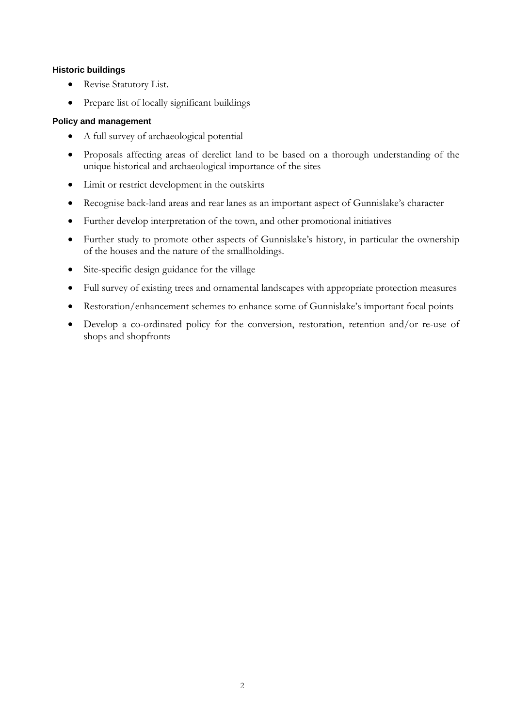#### **Historic buildings**

- Revise Statutory List.
- Prepare list of locally significant buildings

#### **Policy and management**

- A full survey of archaeological potential
- Proposals affecting areas of derelict land to be based on a thorough understanding of the unique historical and archaeological importance of the sites
- Limit or restrict development in the outskirts
- Recognise back-land areas and rear lanes as an important aspect of Gunnislake's character
- Further develop interpretation of the town, and other promotional initiatives
- Further study to promote other aspects of Gunnislake's history, in particular the ownership of the houses and the nature of the smallholdings.
- Site-specific design guidance for the village
- Full survey of existing trees and ornamental landscapes with appropriate protection measures
- Restoration/enhancement schemes to enhance some of Gunnislake's important focal points
- Develop a co-ordinated policy for the conversion, restoration, retention and/or re-use of shops and shopfronts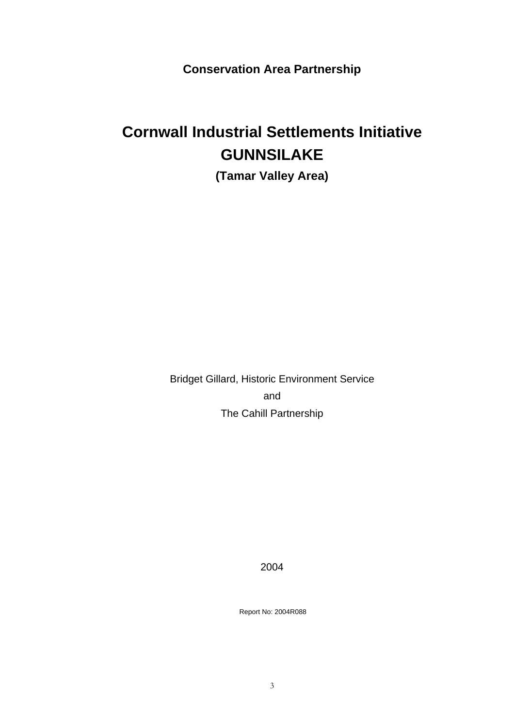**Conservation Area Partnership**

# **Cornwall Industrial Settlements Initiative GUNNSILAKE**

**(Tamar Valley Area)** 

Bridget Gillard, Historic Environment Service and The Cahill Partnership

2004

Report No: 2004R088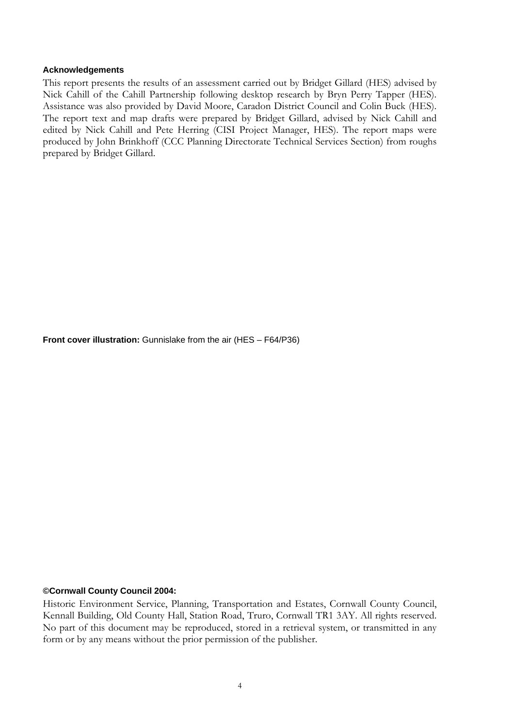#### **Acknowledgements**

This report presents the results of an assessment carried out by Bridget Gillard (HES) advised by Nick Cahill of the Cahill Partnership following desktop research by Bryn Perry Tapper (HES). Assistance was also provided by David Moore, Caradon District Council and Colin Buck (HES). The report text and map drafts were prepared by Bridget Gillard, advised by Nick Cahill and edited by Nick Cahill and Pete Herring (CISI Project Manager, HES). The report maps were produced by John Brinkhoff (CCC Planning Directorate Technical Services Section) from roughs prepared by Bridget Gillard.

**Front cover illustration:** Gunnislake from the air (HES – F64/P36)

#### **©Cornwall County Council 2004:**

Historic Environment Service, Planning, Transportation and Estates, Cornwall County Council, Kennall Building, Old County Hall, Station Road, Truro, Cornwall TR1 3AY. All rights reserved. No part of this document may be reproduced, stored in a retrieval system, or transmitted in any form or by any means without the prior permission of the publisher.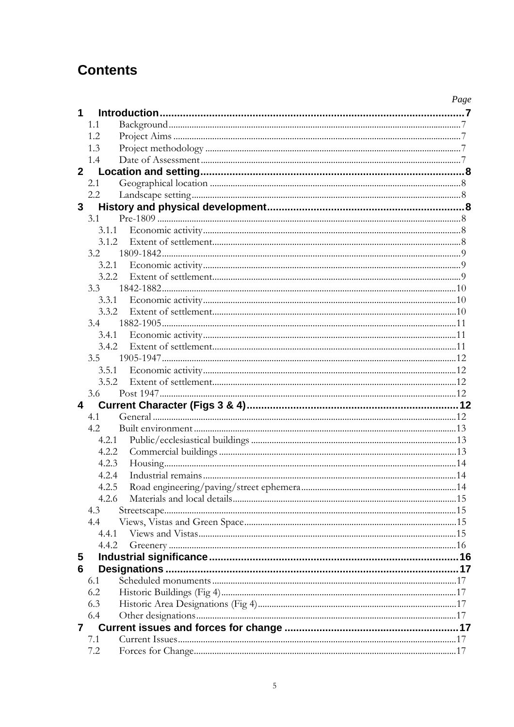## **Contents**

|                 |         | Page |
|-----------------|---------|------|
| 1               |         |      |
|                 | 1.1     |      |
|                 | 1.2     |      |
|                 | 1.3     |      |
|                 | 1.4     |      |
| 2 <sup>1</sup>  |         |      |
|                 | 2.1     |      |
|                 | $2.2\,$ |      |
| $3\phantom{.0}$ |         |      |
|                 | 3.1     |      |
|                 | 3.1.1   |      |
|                 |         |      |
|                 | 3.2     |      |
|                 | 3.2.1   |      |
|                 |         |      |
|                 | 3.3     |      |
|                 | 3.3.1   |      |
|                 | 3.3.2   |      |
|                 | 3.4     |      |
|                 | 3.4.1   |      |
|                 | 3.4.2   |      |
|                 | 3.5     |      |
|                 | 3.5.1   |      |
|                 | 3.5.2   |      |
|                 | 3.6     |      |
| 4               |         |      |
|                 | 4.1     |      |
|                 | 4.2     |      |
|                 | 4.2.1   |      |
|                 | 4.2.2   |      |
|                 | 4.2.3   |      |
|                 | 4.2.4   |      |
|                 | 4.2.5   |      |
|                 | 4.2.6   |      |
|                 | 4.3     |      |
|                 | 4.4     |      |
|                 | 4.4.1   |      |
|                 | 4.4.2   |      |
| $\overline{5}$  |         |      |
| 6               |         |      |
|                 | 6.1     |      |
|                 | 6.2     |      |
|                 | 6.3     |      |
|                 | 6.4     |      |
| $\overline{7}$  |         |      |
|                 | 7.1     |      |
|                 | 7.2     |      |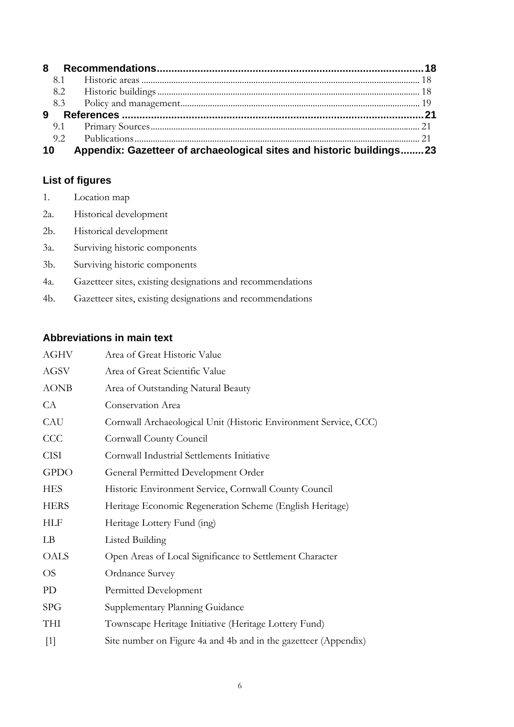| 9  |                                                                      |  |
|----|----------------------------------------------------------------------|--|
|    |                                                                      |  |
|    |                                                                      |  |
| 10 | Appendix: Gazetteer of archaeological sites and historic buildings23 |  |

## **List of figures**

- 1. Location map
- 2a. Historical development
- 2b. Historical development
- 3a. Surviving historic components
- 3b. Surviving historic components
- 4a. Gazetteer sites, existing designations and recommendations
- 4b. Gazetteer sites, existing designations and recommendations

## **Abbreviations in main text**

| <b>AGHV</b> | Area of Great Historic Value                                     |
|-------------|------------------------------------------------------------------|
| AGSV        | Area of Great Scientific Value                                   |
| <b>AONB</b> | Area of Outstanding Natural Beauty                               |
| CA          | Conservation Area                                                |
| CAU         | Cornwall Archaeological Unit (Historic Environment Service, CCC) |
| CCC         | Cornwall County Council                                          |
| <b>CISI</b> | Cornwall Industrial Settlements Initiative                       |
| <b>GPDO</b> | General Permitted Development Order                              |
| <b>HES</b>  | Historic Environment Service, Cornwall County Council            |
| <b>HERS</b> | Heritage Economic Regeneration Scheme (English Heritage)         |
| HLF         | Heritage Lottery Fund (ing)                                      |
| LB          | <b>Listed Building</b>                                           |
| OALS        | Open Areas of Local Significance to Settlement Character         |
| <b>OS</b>   | Ordnance Survey                                                  |
| PD          | Permitted Development                                            |
| <b>SPG</b>  | Supplementary Planning Guidance                                  |
| THI         | Townscape Heritage Initiative (Heritage Lottery Fund)            |
| $[1]$       | Site number on Figure 4a and 4b and in the gazetteer (Appendix)  |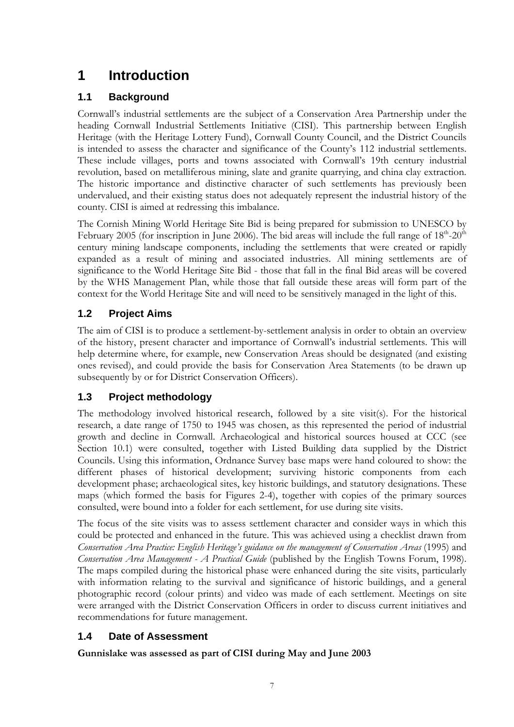## **1 Introduction**

## **1.1 Background**

Cornwall's industrial settlements are the subject of a Conservation Area Partnership under the heading Cornwall Industrial Settlements Initiative (CISI). This partnership between English Heritage (with the Heritage Lottery Fund), Cornwall County Council, and the District Councils is intended to assess the character and significance of the County's 112 industrial settlements. These include villages, ports and towns associated with Cornwall's 19th century industrial revolution, based on metalliferous mining, slate and granite quarrying, and china clay extraction. The historic importance and distinctive character of such settlements has previously been undervalued, and their existing status does not adequately represent the industrial history of the county. CISI is aimed at redressing this imbalance.

The Cornish Mining World Heritage Site Bid is being prepared for submission to UNESCO by February 2005 (for inscription in June 2006). The bid areas will include the full range of  $18<sup>th</sup>-20<sup>th</sup>$ century mining landscape components, including the settlements that were created or rapidly expanded as a result of mining and associated industries. All mining settlements are of significance to the World Heritage Site Bid - those that fall in the final Bid areas will be covered by the WHS Management Plan, while those that fall outside these areas will form part of the context for the World Heritage Site and will need to be sensitively managed in the light of this.

## **1.2 Project Aims**

The aim of CISI is to produce a settlement-by-settlement analysis in order to obtain an overview of the history, present character and importance of Cornwall's industrial settlements. This will help determine where, for example, new Conservation Areas should be designated (and existing ones revised), and could provide the basis for Conservation Area Statements (to be drawn up subsequently by or for District Conservation Officers).

## **1.3 Project methodology**

The methodology involved historical research, followed by a site visit(s). For the historical research, a date range of 1750 to 1945 was chosen, as this represented the period of industrial growth and decline in Cornwall. Archaeological and historical sources housed at CCC (see Section 10.1) were consulted, together with Listed Building data supplied by the District Councils. Using this information, Ordnance Survey base maps were hand coloured to show: the different phases of historical development; surviving historic components from each development phase; archaeological sites, key historic buildings, and statutory designations. These maps (which formed the basis for Figures 2-4), together with copies of the primary sources consulted, were bound into a folder for each settlement, for use during site visits.

The focus of the site visits was to assess settlement character and consider ways in which this could be protected and enhanced in the future. This was achieved using a checklist drawn from *Conservation Area Practice: English Heritage's guidance on the management of Conservation Areas* (1995) and *Conservation Area Management - A Practical Guide* (published by the English Towns Forum, 1998). The maps compiled during the historical phase were enhanced during the site visits, particularly with information relating to the survival and significance of historic buildings, and a general photographic record (colour prints) and video was made of each settlement. Meetings on site were arranged with the District Conservation Officers in order to discuss current initiatives and recommendations for future management.

## **1.4 Date of Assessment**

**Gunnislake was assessed as part of CISI during May and June 2003**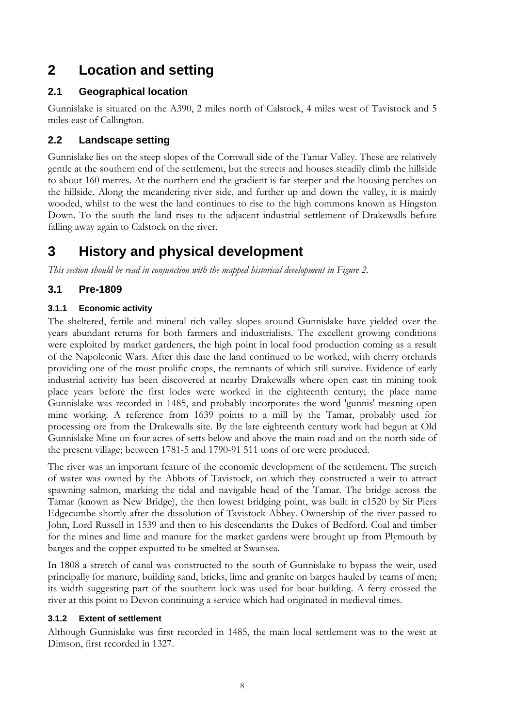## **2 Location and setting**

### **2.1 Geographical location**

Gunnislake is situated on the A390, 2 miles north of Calstock, 4 miles west of Tavistock and 5 miles east of Callington.

### **2.2 Landscape setting**

Gunnislake lies on the steep slopes of the Cornwall side of the Tamar Valley. These are relatively gentle at the southern end of the settlement, but the streets and houses steadily climb the hillside to about 160 metres. At the northern end the gradient is far steeper and the housing perches on the hillside. Along the meandering river side, and further up and down the valley, it is mainly wooded, whilst to the west the land continues to rise to the high commons known as Hingston Down. To the south the land rises to the adjacent industrial settlement of Drakewalls before falling away again to Calstock on the river.

## **3 History and physical development**

*This section should be read in conjunction with the mapped historical development in Figure 2.*

## **3.1 Pre-1809**

### **3.1.1 Economic activity**

The sheltered, fertile and mineral rich valley slopes around Gunnislake have yielded over the years abundant returns for both farmers and industrialists. The excellent growing conditions were exploited by market gardeners, the high point in local food production coming as a result of the Napoleonic Wars. After this date the land continued to be worked, with cherry orchards providing one of the most prolific crops, the remnants of which still survive. Evidence of early industrial activity has been discovered at nearby Drakewalls where open cast tin mining took place years before the first lodes were worked in the eighteenth century; the place name Gunnislake was recorded in 1485, and probably incorporates the word 'gunnis' meaning open mine working. A reference from 1639 points to a mill by the Tamar, probably used for processing ore from the Drakewalls site. By the late eighteenth century work had begun at Old Gunnislake Mine on four acres of setts below and above the main road and on the north side of the present village; between 1781-5 and 1790-91 511 tons of ore were produced.

The river was an important feature of the economic development of the settlement. The stretch of water was owned by the Abbots of Tavistock, on which they constructed a weir to attract spawning salmon, marking the tidal and navigable head of the Tamar. The bridge across the Tamar (known as New Bridge), the then lowest bridging point, was built in c1520 by Sir Piers Edgecumbe shortly after the dissolution of Tavistock Abbey. Ownership of the river passed to John, Lord Russell in 1539 and then to his descendants the Dukes of Bedford. Coal and timber for the mines and lime and manure for the market gardens were brought up from Plymouth by barges and the copper exported to be smelted at Swansea.

In 1808 a stretch of canal was constructed to the south of Gunnislake to bypass the weir, used principally for manure, building sand, bricks, lime and granite on barges hauled by teams of men; its width suggesting part of the southern lock was used for boat building. A ferry crossed the river at this point to Devon continuing a service which had originated in medieval times.

#### **3.1.2 Extent of settlement**

Although Gunnislake was first recorded in 1485, the main local settlement was to the west at Dimson, first recorded in 1327.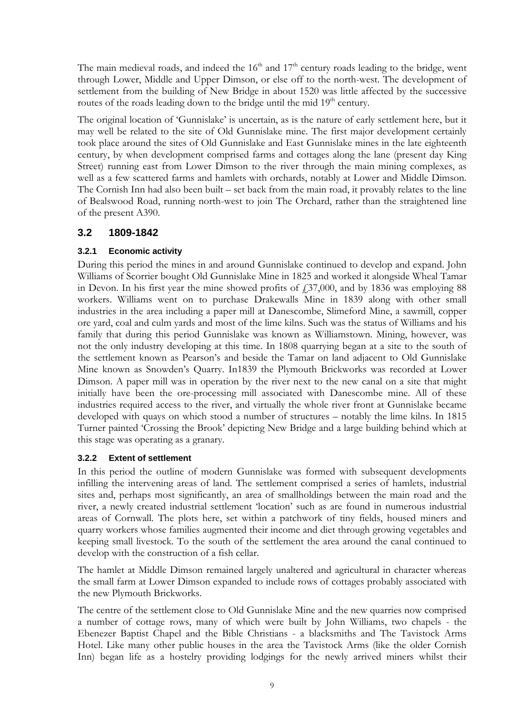The main medieval roads, and indeed the  $16<sup>th</sup>$  and  $17<sup>th</sup>$  century roads leading to the bridge, went through Lower, Middle and Upper Dimson, or else off to the north-west. The development of settlement from the building of New Bridge in about 1520 was little affected by the successive routes of the roads leading down to the bridge until the mid  $19<sup>th</sup>$  century.

The original location of 'Gunnislake' is uncertain, as is the nature of early settlement here, but it may well be related to the site of Old Gunnislake mine. The first major development certainly took place around the sites of Old Gunnislake and East Gunnislake mines in the late eighteenth century, by when development comprised farms and cottages along the lane (present day King Street) running east from Lower Dimson to the river through the main mining complexes, as well as a few scattered farms and hamlets with orchards, notably at Lower and Middle Dimson. The Cornish Inn had also been built – set back from the main road, it provably relates to the line of Bealswood Road, running north-west to join The Orchard, rather than the straightened line of the present A390.

### **3.2 1809-1842**

#### **3.2.1 Economic activity**

During this period the mines in and around Gunnislake continued to develop and expand. John Williams of Scorrier bought Old Gunnislake Mine in 1825 and worked it alongside Wheal Tamar in Devon. In his first year the mine showed profits of  $\frac{1}{37,000}$ , and by 1836 was employing 88 workers. Williams went on to purchase Drakewalls Mine in 1839 along with other small industries in the area including a paper mill at Danescombe, Slimeford Mine, a sawmill, copper ore yard, coal and culm yards and most of the lime kilns. Such was the status of Williams and his family that during this period Gunnislake was known as Williamstown. Mining, however, was not the only industry developing at this time. In 1808 quarrying began at a site to the south of the settlement known as Pearson's and beside the Tamar on land adjacent to Old Gunnislake Mine known as Snowden's Quarry. In1839 the Plymouth Brickworks was recorded at Lower Dimson. A paper mill was in operation by the river next to the new canal on a site that might initially have been the ore-processing mill associated with Danescombe mine. All of these industries required access to the river, and virtually the whole river front at Gunnislake became developed with quays on which stood a number of structures – notably the lime kilns. In 1815 Turner painted 'Crossing the Brook' depicting New Bridge and a large building behind which at this stage was operating as a granary.

#### **3.2.2 Extent of settlement**

In this period the outline of modern Gunnislake was formed with subsequent developments infilling the intervening areas of land. The settlement comprised a series of hamlets, industrial sites and, perhaps most significantly, an area of smallholdings between the main road and the river, a newly created industrial settlement 'location' such as are found in numerous industrial areas of Cornwall. The plots here, set within a patchwork of tiny fields, housed miners and quarry workers whose families augmented their income and diet through growing vegetables and keeping small livestock. To the south of the settlement the area around the canal continued to develop with the construction of a fish cellar.

The hamlet at Middle Dimson remained largely unaltered and agricultural in character whereas the small farm at Lower Dimson expanded to include rows of cottages probably associated with the new Plymouth Brickworks.

The centre of the settlement close to Old Gunnislake Mine and the new quarries now comprised a number of cottage rows, many of which were built by John Williams, two chapels - the Ebenezer Baptist Chapel and the Bible Christians - a blacksmiths and The Tavistock Arms Hotel. Like many other public houses in the area the Tavistock Arms (like the older Cornish Inn) began life as a hostelry providing lodgings for the newly arrived miners whilst their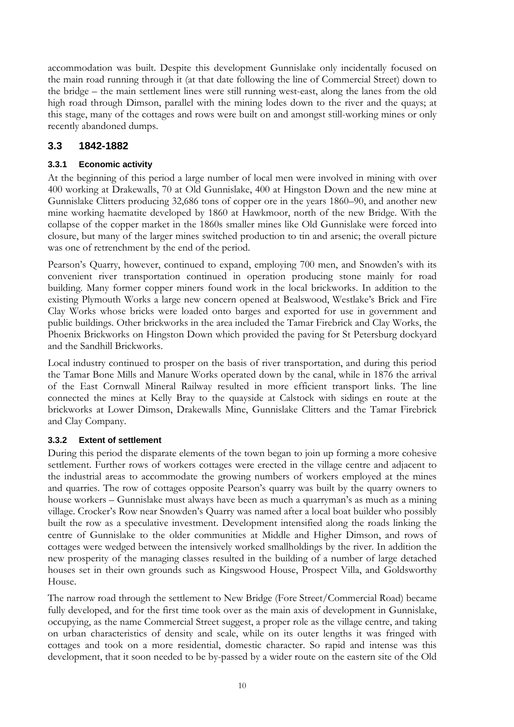accommodation was built. Despite this development Gunnislake only incidentally focused on the main road running through it (at that date following the line of Commercial Street) down to the bridge – the main settlement lines were still running west-east, along the lanes from the old high road through Dimson, parallel with the mining lodes down to the river and the quays; at this stage, many of the cottages and rows were built on and amongst still-working mines or only recently abandoned dumps.

### **3.3 1842-1882**

#### **3.3.1 Economic activity**

At the beginning of this period a large number of local men were involved in mining with over 400 working at Drakewalls, 70 at Old Gunnislake, 400 at Hingston Down and the new mine at Gunnislake Clitters producing 32,686 tons of copper ore in the years 1860–90, and another new mine working haematite developed by 1860 at Hawkmoor, north of the new Bridge. With the collapse of the copper market in the 1860s smaller mines like Old Gunnislake were forced into closure, but many of the larger mines switched production to tin and arsenic; the overall picture was one of retrenchment by the end of the period.

Pearson's Quarry, however, continued to expand, employing 700 men, and Snowden's with its convenient river transportation continued in operation producing stone mainly for road building. Many former copper miners found work in the local brickworks. In addition to the existing Plymouth Works a large new concern opened at Bealswood, Westlake's Brick and Fire Clay Works whose bricks were loaded onto barges and exported for use in government and public buildings. Other brickworks in the area included the Tamar Firebrick and Clay Works, the Phoenix Brickworks on Hingston Down which provided the paving for St Petersburg dockyard and the Sandhill Brickworks.

Local industry continued to prosper on the basis of river transportation, and during this period the Tamar Bone Mills and Manure Works operated down by the canal, while in 1876 the arrival of the East Cornwall Mineral Railway resulted in more efficient transport links. The line connected the mines at Kelly Bray to the quayside at Calstock with sidings en route at the brickworks at Lower Dimson, Drakewalls Mine, Gunnislake Clitters and the Tamar Firebrick and Clay Company.

#### **3.3.2 Extent of settlement**

During this period the disparate elements of the town began to join up forming a more cohesive settlement. Further rows of workers cottages were erected in the village centre and adjacent to the industrial areas to accommodate the growing numbers of workers employed at the mines and quarries. The row of cottages opposite Pearson's quarry was built by the quarry owners to house workers – Gunnislake must always have been as much a quarryman's as much as a mining village. Crocker's Row near Snowden's Quarry was named after a local boat builder who possibly built the row as a speculative investment. Development intensified along the roads linking the centre of Gunnislake to the older communities at Middle and Higher Dimson, and rows of cottages were wedged between the intensively worked smallholdings by the river. In addition the new prosperity of the managing classes resulted in the building of a number of large detached houses set in their own grounds such as Kingswood House, Prospect Villa, and Goldsworthy House.

The narrow road through the settlement to New Bridge (Fore Street/Commercial Road) became fully developed, and for the first time took over as the main axis of development in Gunnislake, occupying, as the name Commercial Street suggest, a proper role as the village centre, and taking on urban characteristics of density and scale, while on its outer lengths it was fringed with cottages and took on a more residential, domestic character. So rapid and intense was this development, that it soon needed to be by-passed by a wider route on the eastern site of the Old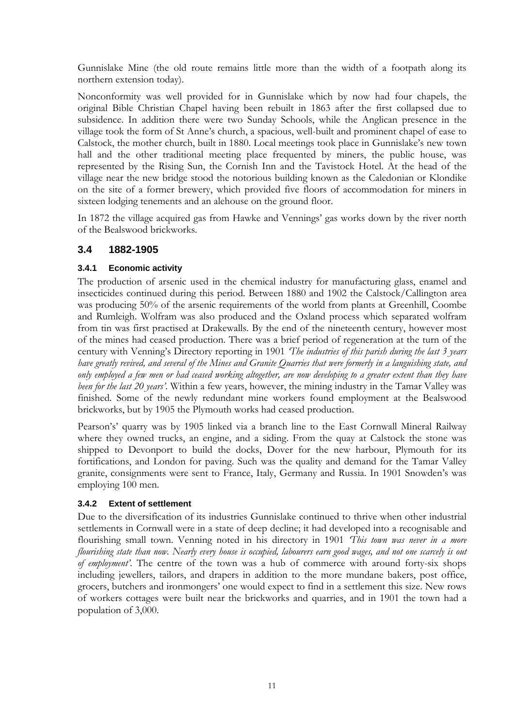Gunnislake Mine (the old route remains little more than the width of a footpath along its northern extension today).

Nonconformity was well provided for in Gunnislake which by now had four chapels, the original Bible Christian Chapel having been rebuilt in 1863 after the first collapsed due to subsidence. In addition there were two Sunday Schools, while the Anglican presence in the village took the form of St Anne's church, a spacious, well-built and prominent chapel of ease to Calstock, the mother church, built in 1880. Local meetings took place in Gunnislake's new town hall and the other traditional meeting place frequented by miners, the public house, was represented by the Rising Sun, the Cornish Inn and the Tavistock Hotel. At the head of the village near the new bridge stood the notorious building known as the Caledonian or Klondike on the site of a former brewery, which provided five floors of accommodation for miners in sixteen lodging tenements and an alehouse on the ground floor.

In 1872 the village acquired gas from Hawke and Vennings' gas works down by the river north of the Bealswood brickworks.

#### **3.4 1882-1905**

#### **3.4.1 Economic activity**

The production of arsenic used in the chemical industry for manufacturing glass, enamel and insecticides continued during this period. Between 1880 and 1902 the Calstock/Callington area was producing 50% of the arsenic requirements of the world from plants at Greenhill, Coombe and Rumleigh. Wolfram was also produced and the Oxland process which separated wolfram from tin was first practised at Drakewalls. By the end of the nineteenth century, however most of the mines had ceased production. There was a brief period of regeneration at the turn of the century with Venning's Directory reporting in 1901 *'The industries of this parish during the last 3 years have greatly revived, and several of the Mines and Granite Quarries that were formerly in a languishing state, and only employed a few men or had ceased working altogether, are now developing to a greater extent than they have been for the last 20 years'*. Within a few years, however, the mining industry in the Tamar Valley was finished. Some of the newly redundant mine workers found employment at the Bealswood brickworks, but by 1905 the Plymouth works had ceased production.

Pearson's' quarry was by 1905 linked via a branch line to the East Cornwall Mineral Railway where they owned trucks, an engine, and a siding. From the quay at Calstock the stone was shipped to Devonport to build the docks, Dover for the new harbour, Plymouth for its fortifications, and London for paving. Such was the quality and demand for the Tamar Valley granite, consignments were sent to France, Italy, Germany and Russia. In 1901 Snowden's was employing 100 men.

#### **3.4.2 Extent of settlement**

Due to the diversification of its industries Gunnislake continued to thrive when other industrial settlements in Cornwall were in a state of deep decline; it had developed into a recognisable and flourishing small town. Venning noted in his directory in 1901 *'This town was never in a more flourishing state than now. Nearly every house is occupied, labourers earn good wages, and not one scarcely is out of employment'*. The centre of the town was a hub of commerce with around forty-six shops including jewellers, tailors, and drapers in addition to the more mundane bakers, post office, grocers, butchers and ironmongers' one would expect to find in a settlement this size. New rows of workers cottages were built near the brickworks and quarries, and in 1901 the town had a population of 3,000.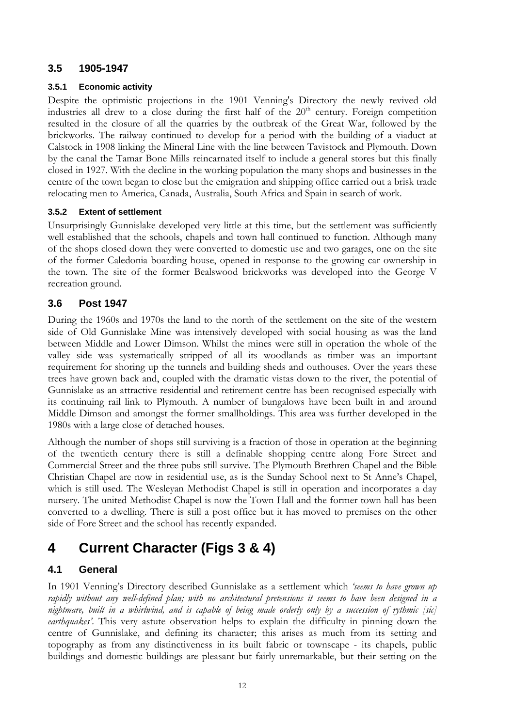#### **3.5 1905-1947**

#### **3.5.1 Economic activity**

Despite the optimistic projections in the 1901 Venning's Directory the newly revived old industries all drew to a close during the first half of the  $20<sup>th</sup>$  century. Foreign competition resulted in the closure of all the quarries by the outbreak of the Great War, followed by the brickworks. The railway continued to develop for a period with the building of a viaduct at Calstock in 1908 linking the Mineral Line with the line between Tavistock and Plymouth. Down by the canal the Tamar Bone Mills reincarnated itself to include a general stores but this finally closed in 1927. With the decline in the working population the many shops and businesses in the centre of the town began to close but the emigration and shipping office carried out a brisk trade relocating men to America, Canada, Australia, South Africa and Spain in search of work.

#### **3.5.2 Extent of settlement**

Unsurprisingly Gunnislake developed very little at this time, but the settlement was sufficiently well established that the schools, chapels and town hall continued to function. Although many of the shops closed down they were converted to domestic use and two garages, one on the site of the former Caledonia boarding house, opened in response to the growing car ownership in the town. The site of the former Bealswood brickworks was developed into the George V recreation ground.

#### **3.6 Post 1947**

During the 1960s and 1970s the land to the north of the settlement on the site of the western side of Old Gunnislake Mine was intensively developed with social housing as was the land between Middle and Lower Dimson. Whilst the mines were still in operation the whole of the valley side was systematically stripped of all its woodlands as timber was an important requirement for shoring up the tunnels and building sheds and outhouses. Over the years these trees have grown back and, coupled with the dramatic vistas down to the river, the potential of Gunnislake as an attractive residential and retirement centre has been recognised especially with its continuing rail link to Plymouth. A number of bungalows have been built in and around Middle Dimson and amongst the former smallholdings. This area was further developed in the 1980s with a large close of detached houses.

Although the number of shops still surviving is a fraction of those in operation at the beginning of the twentieth century there is still a definable shopping centre along Fore Street and Commercial Street and the three pubs still survive. The Plymouth Brethren Chapel and the Bible Christian Chapel are now in residential use, as is the Sunday School next to St Anne's Chapel, which is still used. The Wesleyan Methodist Chapel is still in operation and incorporates a day nursery. The united Methodist Chapel is now the Town Hall and the former town hall has been converted to a dwelling. There is still a post office but it has moved to premises on the other side of Fore Street and the school has recently expanded.

## **4 Current Character (Figs 3 & 4)**

#### **4.1 General**

In 1901 Venning's Directory described Gunnislake as a settlement which *'seems to have grown up rapidly without any well-defined plan; with no architectural pretensions it seems to have been designed in a nightmare, built in a whirlwind, and is capable of being made orderly only by a succession of rythmic [sic] earthquakes'*. This very astute observation helps to explain the difficulty in pinning down the centre of Gunnislake, and defining its character; this arises as much from its setting and topography as from any distinctiveness in its built fabric or townscape - its chapels, public buildings and domestic buildings are pleasant but fairly unremarkable, but their setting on the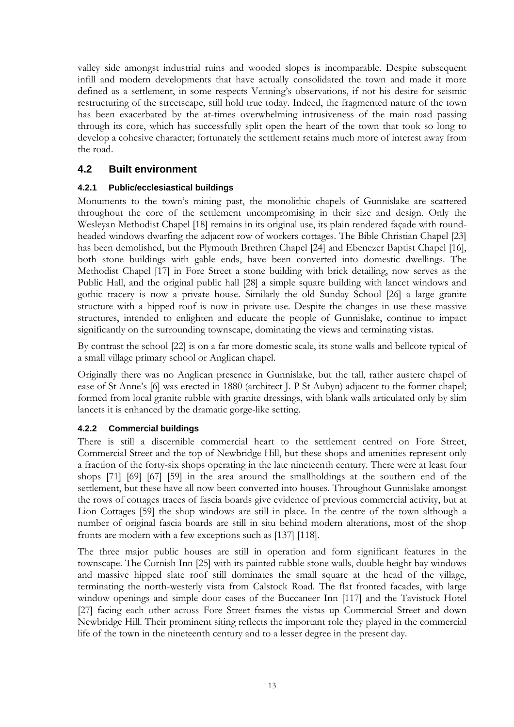valley side amongst industrial ruins and wooded slopes is incomparable. Despite subsequent infill and modern developments that have actually consolidated the town and made it more defined as a settlement, in some respects Venning's observations, if not his desire for seismic restructuring of the streetscape, still hold true today. Indeed, the fragmented nature of the town has been exacerbated by the at-times overwhelming intrusiveness of the main road passing through its core, which has successfully split open the heart of the town that took so long to develop a cohesive character; fortunately the settlement retains much more of interest away from the road.

### **4.2 Built environment**

#### **4.2.1 Public/ecclesiastical buildings**

Monuments to the town's mining past, the monolithic chapels of Gunnislake are scattered throughout the core of the settlement uncompromising in their size and design. Only the Wesleyan Methodist Chapel [18] remains in its original use, its plain rendered façade with roundheaded windows dwarfing the adjacent row of workers cottages. The Bible Christian Chapel [23] has been demolished, but the Plymouth Brethren Chapel [24] and Ebenezer Baptist Chapel [16], both stone buildings with gable ends, have been converted into domestic dwellings. The Methodist Chapel [17] in Fore Street a stone building with brick detailing, now serves as the Public Hall, and the original public hall [28] a simple square building with lancet windows and gothic tracery is now a private house. Similarly the old Sunday School [26] a large granite structure with a hipped roof is now in private use. Despite the changes in use these massive structures, intended to enlighten and educate the people of Gunnislake, continue to impact significantly on the surrounding townscape, dominating the views and terminating vistas.

By contrast the school [22] is on a far more domestic scale, its stone walls and bellcote typical of a small village primary school or Anglican chapel.

Originally there was no Anglican presence in Gunnislake, but the tall, rather austere chapel of ease of St Anne's [6] was erected in 1880 (architect J. P St Aubyn) adjacent to the former chapel; formed from local granite rubble with granite dressings, with blank walls articulated only by slim lancets it is enhanced by the dramatic gorge-like setting.

#### **4.2.2 Commercial buildings**

There is still a discernible commercial heart to the settlement centred on Fore Street, Commercial Street and the top of Newbridge Hill, but these shops and amenities represent only a fraction of the forty-six shops operating in the late nineteenth century. There were at least four shops [71] [69] [67] [59] in the area around the smallholdings at the southern end of the settlement, but these have all now been converted into houses. Throughout Gunnislake amongst the rows of cottages traces of fascia boards give evidence of previous commercial activity, but at Lion Cottages [59] the shop windows are still in place. In the centre of the town although a number of original fascia boards are still in situ behind modern alterations, most of the shop fronts are modern with a few exceptions such as [137] [118].

The three major public houses are still in operation and form significant features in the townscape. The Cornish Inn [25] with its painted rubble stone walls, double height bay windows and massive hipped slate roof still dominates the small square at the head of the village, terminating the north-westerly vista from Calstock Road. The flat fronted facades, with large window openings and simple door cases of the Buccaneer Inn [117] and the Tavistock Hotel [27] facing each other across Fore Street frames the vistas up Commercial Street and down Newbridge Hill. Their prominent siting reflects the important role they played in the commercial life of the town in the nineteenth century and to a lesser degree in the present day.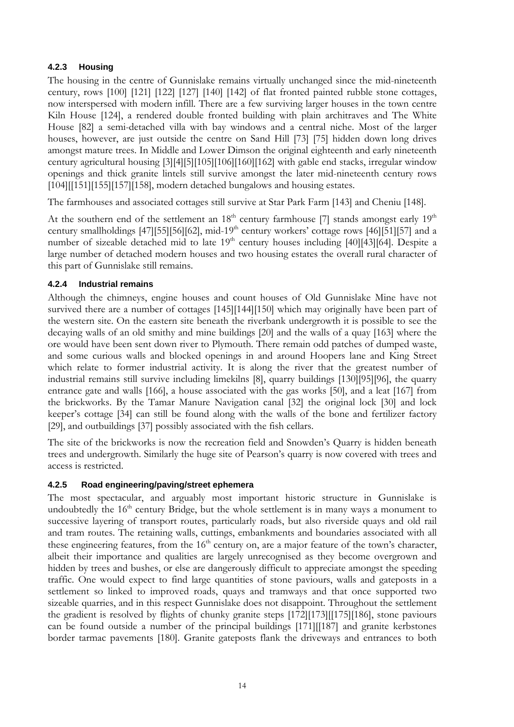#### **4.2.3 Housing**

The housing in the centre of Gunnislake remains virtually unchanged since the mid-nineteenth century, rows [100] [121] [122] [127] [140] [142] of flat fronted painted rubble stone cottages, now interspersed with modern infill. There are a few surviving larger houses in the town centre Kiln House [124], a rendered double fronted building with plain architraves and The White House [82] a semi-detached villa with bay windows and a central niche. Most of the larger houses, however, are just outside the centre on Sand Hill [73] [75] hidden down long drives amongst mature trees. In Middle and Lower Dimson the original eighteenth and early nineteenth century agricultural housing [3][4][5][105][106][160][162] with gable end stacks, irregular window openings and thick granite lintels still survive amongst the later mid-nineteenth century rows [104][[151][155][157][158], modern detached bungalows and housing estates.

The farmhouses and associated cottages still survive at Star Park Farm [143] and Cheniu [148].

At the southern end of the settlement an  $18<sup>th</sup>$  century farmhouse [7] stands amongst early  $19<sup>th</sup>$ century smallholdings [47][55][56][62], mid-19th century workers' cottage rows [46][51][57] and a number of sizeable detached mid to late  $19<sup>th</sup>$  century houses including [40][43][64]. Despite a large number of detached modern houses and two housing estates the overall rural character of this part of Gunnislake still remains.

#### **4.2.4 Industrial remains**

Although the chimneys, engine houses and count houses of Old Gunnislake Mine have not survived there are a number of cottages [145][144][150] which may originally have been part of the western site. On the eastern site beneath the riverbank undergrowth it is possible to see the decaying walls of an old smithy and mine buildings [20] and the walls of a quay [163] where the ore would have been sent down river to Plymouth. There remain odd patches of dumped waste, and some curious walls and blocked openings in and around Hoopers lane and King Street which relate to former industrial activity. It is along the river that the greatest number of industrial remains still survive including limekilns [8], quarry buildings [130][95][96], the quarry entrance gate and walls [166], a house associated with the gas works [50], and a leat [167] from the brickworks. By the Tamar Manure Navigation canal [32] the original lock [30] and lock keeper's cottage [34] can still be found along with the walls of the bone and fertilizer factory [29], and outbuildings [37] possibly associated with the fish cellars.

The site of the brickworks is now the recreation field and Snowden's Quarry is hidden beneath trees and undergrowth. Similarly the huge site of Pearson's quarry is now covered with trees and access is restricted.

#### **4.2.5 Road engineering/paving/street ephemera**

The most spectacular, and arguably most important historic structure in Gunnislake is undoubtedly the  $16<sup>th</sup>$  century Bridge, but the whole settlement is in many ways a monument to successive layering of transport routes, particularly roads, but also riverside quays and old rail and tram routes. The retaining walls, cuttings, embankments and boundaries associated with all these engineering features, from the  $16<sup>th</sup>$  century on, are a major feature of the town's character, albeit their importance and qualities are largely unrecognised as they become overgrown and hidden by trees and bushes, or else are dangerously difficult to appreciate amongst the speeding traffic. One would expect to find large quantities of stone paviours, walls and gateposts in a settlement so linked to improved roads, quays and tramways and that once supported two sizeable quarries, and in this respect Gunnislake does not disappoint. Throughout the settlement the gradient is resolved by flights of chunky granite steps [172][173][[175][186], stone paviours can be found outside a number of the principal buildings [171][[187] and granite kerbstones border tarmac pavements [180]. Granite gateposts flank the driveways and entrances to both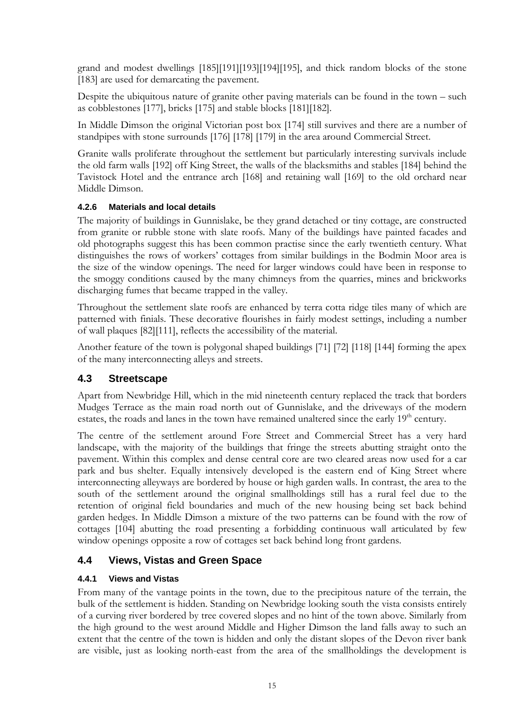grand and modest dwellings [185][191][193][194][195], and thick random blocks of the stone [183] are used for demarcating the pavement.

Despite the ubiquitous nature of granite other paving materials can be found in the town – such as cobblestones [177], bricks [175] and stable blocks [181][182].

In Middle Dimson the original Victorian post box [174] still survives and there are a number of standpipes with stone surrounds [176] [178] [179] in the area around Commercial Street.

Granite walls proliferate throughout the settlement but particularly interesting survivals include the old farm walls [192] off King Street, the walls of the blacksmiths and stables [184] behind the Tavistock Hotel and the entrance arch [168] and retaining wall [169] to the old orchard near Middle Dimson.

#### **4.2.6 Materials and local details**

The majority of buildings in Gunnislake, be they grand detached or tiny cottage, are constructed from granite or rubble stone with slate roofs. Many of the buildings have painted facades and old photographs suggest this has been common practise since the early twentieth century. What distinguishes the rows of workers' cottages from similar buildings in the Bodmin Moor area is the size of the window openings. The need for larger windows could have been in response to the smoggy conditions caused by the many chimneys from the quarries, mines and brickworks discharging fumes that became trapped in the valley.

Throughout the settlement slate roofs are enhanced by terra cotta ridge tiles many of which are patterned with finials. These decorative flourishes in fairly modest settings, including a number of wall plaques [82][111], reflects the accessibility of the material.

Another feature of the town is polygonal shaped buildings [71] [72] [118] [144] forming the apex of the many interconnecting alleys and streets.

### **4.3 Streetscape**

Apart from Newbridge Hill, which in the mid nineteenth century replaced the track that borders Mudges Terrace as the main road north out of Gunnislake, and the driveways of the modern estates, the roads and lanes in the town have remained unaltered since the early 19<sup>th</sup> century.

The centre of the settlement around Fore Street and Commercial Street has a very hard landscape, with the majority of the buildings that fringe the streets abutting straight onto the pavement. Within this complex and dense central core are two cleared areas now used for a car park and bus shelter. Equally intensively developed is the eastern end of King Street where interconnecting alleyways are bordered by house or high garden walls. In contrast, the area to the south of the settlement around the original smallholdings still has a rural feel due to the retention of original field boundaries and much of the new housing being set back behind garden hedges. In Middle Dimson a mixture of the two patterns can be found with the row of cottages [104] abutting the road presenting a forbidding continuous wall articulated by few window openings opposite a row of cottages set back behind long front gardens.

### **4.4 Views, Vistas and Green Space**

#### **4.4.1 Views and Vistas**

From many of the vantage points in the town, due to the precipitous nature of the terrain, the bulk of the settlement is hidden. Standing on Newbridge looking south the vista consists entirely of a curving river bordered by tree covered slopes and no hint of the town above. Similarly from the high ground to the west around Middle and Higher Dimson the land falls away to such an extent that the centre of the town is hidden and only the distant slopes of the Devon river bank are visible, just as looking north-east from the area of the smallholdings the development is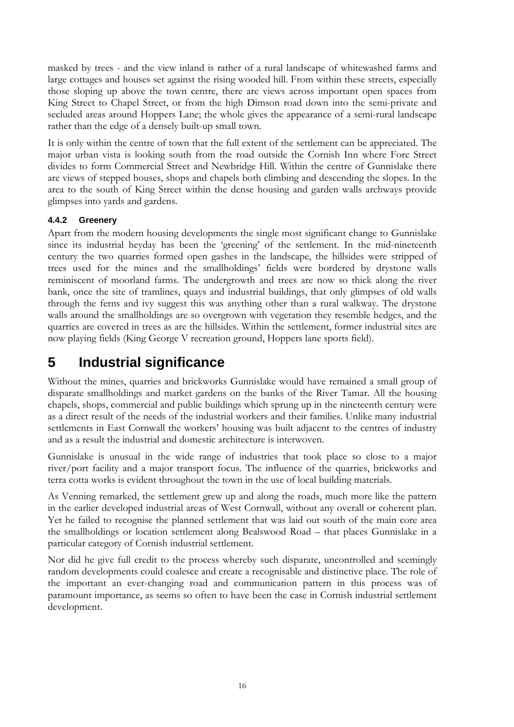masked by trees - and the view inland is rather of a rural landscape of whitewashed farms and large cottages and houses set against the rising wooded hill. From within these streets, especially those sloping up above the town centre, there are views across important open spaces from King Street to Chapel Street, or from the high Dimson road down into the semi-private and secluded areas around Hoppers Lane; the whole gives the appearance of a semi-rural landscape rather than the edge of a densely built-up small town.

It is only within the centre of town that the full extent of the settlement can be appreciated. The major urban vista is looking south from the road outside the Cornish Inn where Fore Street divides to form Commercial Street and Newbridge Hill. Within the centre of Gunnislake there are views of stepped houses, shops and chapels both climbing and descending the slopes. In the area to the south of King Street within the dense housing and garden walls archways provide glimpses into yards and gardens.

#### **4.4.2 Greenery**

Apart from the modern housing developments the single most significant change to Gunnislake since its industrial heyday has been the 'greening' of the settlement. In the mid-nineteenth century the two quarries formed open gashes in the landscape, the hillsides were stripped of trees used for the mines and the smallholdings' fields were bordered by drystone walls reminiscent of moorland farms. The undergrowth and trees are now so thick along the river bank, once the site of tramlines, quays and industrial buildings, that only glimpses of old walls through the ferns and ivy suggest this was anything other than a rural walkway. The drystone walls around the smallholdings are so overgrown with vegetation they resemble hedges, and the quarries are covered in trees as are the hillsides. Within the settlement, former industrial sites are now playing fields (King George V recreation ground, Hoppers lane sports field).

## **5 Industrial significance**

Without the mines, quarries and brickworks Gunnislake would have remained a small group of disparate smallholdings and market gardens on the banks of the River Tamar. All the housing chapels, shops, commercial and public buildings which sprung up in the nineteenth century were as a direct result of the needs of the industrial workers and their families. Unlike many industrial settlements in East Cornwall the workers' housing was built adjacent to the centres of industry and as a result the industrial and domestic architecture is interwoven.

Gunnislake is unusual in the wide range of industries that took place so close to a major river/port facility and a major transport focus. The influence of the quarries, brickworks and terra cotta works is evident throughout the town in the use of local building materials.

As Venning remarked, the settlement grew up and along the roads, much more like the pattern in the earlier developed industrial areas of West Cornwall, without any overall or coherent plan. Yet he failed to recognise the planned settlement that was laid out south of the main core area the smallholdings or location settlement along Bealswood Road – that places Gunnislake in a particular category of Cornish industrial settlement.

Nor did he give full credit to the process whereby such disparate, uncontrolled and seemingly random developments could coalesce and create a recognisable and distinctive place. The role of the important an ever-changing road and communication pattern in this process was of paramount importance, as seems so often to have been the case in Cornish industrial settlement development.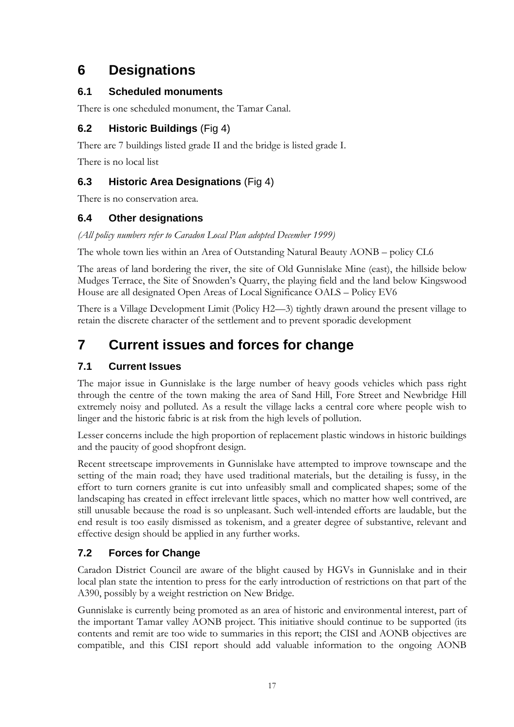## **6 Designations**

### **6.1 Scheduled monuments**

There is one scheduled monument, the Tamar Canal.

## **6.2 Historic Buildings** (Fig 4)

There are 7 buildings listed grade II and the bridge is listed grade I.

There is no local list

## **6.3 Historic Area Designations** (Fig 4)

There is no conservation area.

## **6.4 Other designations**

*(All policy numbers refer to Caradon Local Plan adopted December 1999)* 

The whole town lies within an Area of Outstanding Natural Beauty AONB – policy CL6

The areas of land bordering the river, the site of Old Gunnislake Mine (east), the hillside below Mudges Terrace, the Site of Snowden's Quarry, the playing field and the land below Kingswood House are all designated Open Areas of Local Significance OALS – Policy EV6

There is a Village Development Limit (Policy H2—3) tightly drawn around the present village to retain the discrete character of the settlement and to prevent sporadic development

## **7 Current issues and forces for change**

## **7.1 Current Issues**

The major issue in Gunnislake is the large number of heavy goods vehicles which pass right through the centre of the town making the area of Sand Hill, Fore Street and Newbridge Hill extremely noisy and polluted. As a result the village lacks a central core where people wish to linger and the historic fabric is at risk from the high levels of pollution.

Lesser concerns include the high proportion of replacement plastic windows in historic buildings and the paucity of good shopfront design.

Recent streetscape improvements in Gunnislake have attempted to improve townscape and the setting of the main road; they have used traditional materials, but the detailing is fussy, in the effort to turn corners granite is cut into unfeasibly small and complicated shapes; some of the landscaping has created in effect irrelevant little spaces, which no matter how well contrived, are still unusable because the road is so unpleasant. Such well-intended efforts are laudable, but the end result is too easily dismissed as tokenism, and a greater degree of substantive, relevant and effective design should be applied in any further works.

## **7.2 Forces for Change**

Caradon District Council are aware of the blight caused by HGVs in Gunnislake and in their local plan state the intention to press for the early introduction of restrictions on that part of the A390, possibly by a weight restriction on New Bridge.

Gunnislake is currently being promoted as an area of historic and environmental interest, part of the important Tamar valley AONB project. This initiative should continue to be supported (its contents and remit are too wide to summaries in this report; the CISI and AONB objectives are compatible, and this CISI report should add valuable information to the ongoing AONB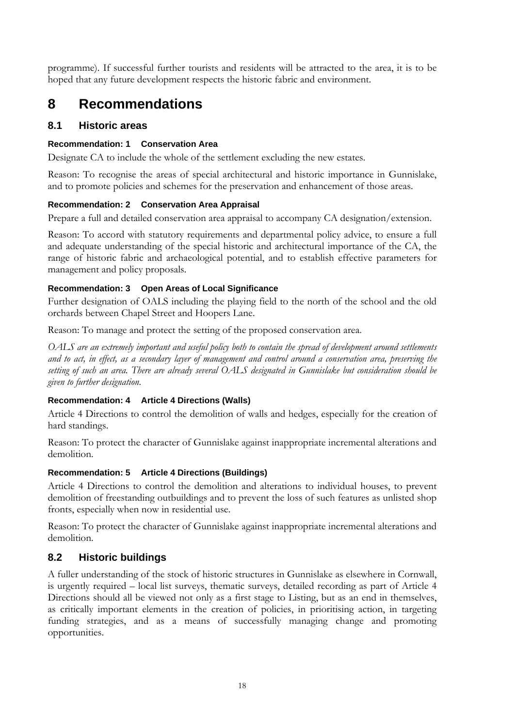programme). If successful further tourists and residents will be attracted to the area, it is to be hoped that any future development respects the historic fabric and environment.

## **8 Recommendations**

#### **8.1 Historic areas**

#### **Recommendation: 1 Conservation Area**

Designate CA to include the whole of the settlement excluding the new estates.

Reason: To recognise the areas of special architectural and historic importance in Gunnislake, and to promote policies and schemes for the preservation and enhancement of those areas.

#### **Recommendation: 2 Conservation Area Appraisal**

Prepare a full and detailed conservation area appraisal to accompany CA designation/extension.

Reason: To accord with statutory requirements and departmental policy advice, to ensure a full and adequate understanding of the special historic and architectural importance of the CA, the range of historic fabric and archaeological potential, and to establish effective parameters for management and policy proposals.

#### **Recommendation: 3 Open Areas of Local Significance**

Further designation of OALS including the playing field to the north of the school and the old orchards between Chapel Street and Hoopers Lane.

Reason: To manage and protect the setting of the proposed conservation area.

*OALS are an extremely important and useful policy both to contain the spread of development around settlements and to act, in effect, as a secondary layer of management and control around a conservation area, preserving the setting of such an area. There are already several OALS designated in Gunnislake but consideration should be given to further designation.*

#### **Recommendation: 4 Article 4 Directions (Walls)**

Article 4 Directions to control the demolition of walls and hedges, especially for the creation of hard standings.

Reason: To protect the character of Gunnislake against inappropriate incremental alterations and demolition.

#### **Recommendation: 5 Article 4 Directions (Buildings)**

Article 4 Directions to control the demolition and alterations to individual houses, to prevent demolition of freestanding outbuildings and to prevent the loss of such features as unlisted shop fronts, especially when now in residential use.

Reason: To protect the character of Gunnislake against inappropriate incremental alterations and demolition.

#### **8.2 Historic buildings**

A fuller understanding of the stock of historic structures in Gunnislake as elsewhere in Cornwall, is urgently required – local list surveys, thematic surveys, detailed recording as part of Article 4 Directions should all be viewed not only as a first stage to Listing, but as an end in themselves, as critically important elements in the creation of policies, in prioritising action, in targeting funding strategies, and as a means of successfully managing change and promoting opportunities.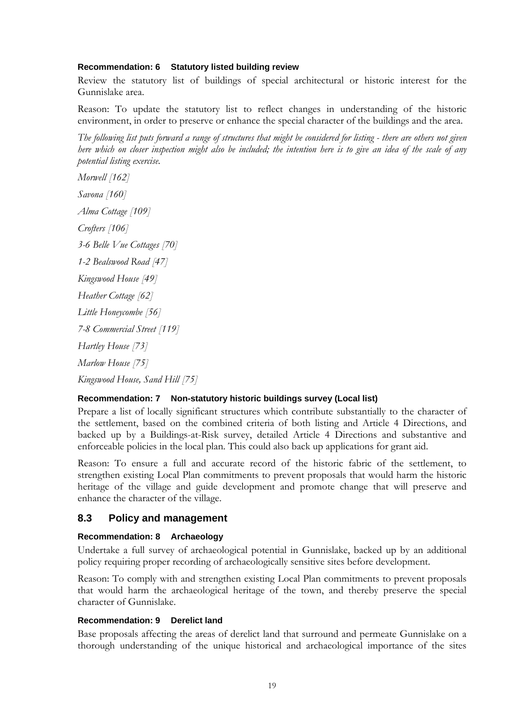#### **Recommendation: 6 Statutory listed building review**

Review the statutory list of buildings of special architectural or historic interest for the Gunnislake area.

Reason: To update the statutory list to reflect changes in understanding of the historic environment, in order to preserve or enhance the special character of the buildings and the area.

*The following list puts forward a range of structures that might be considered for listing - there are others not given here which on closer inspection might also be included; the intention here is to give an idea of the scale of any potential listing exercise.* 

*Morwell [162] Savona [160] Alma Cottage [109] Crofters [106] 3-6 Belle Vue Cottages [70] 1-2 Bealswood Road [47] Kingswood House [49] Heather Cottage [62] Little Honeycombe [56] 7-8 Commercial Street [119] Hartley House [73] Marlow House [75]* 

*Kingswood House, Sand Hill [75]* 

#### **Recommendation: 7 Non-statutory historic buildings survey (Local list)**

Prepare a list of locally significant structures which contribute substantially to the character of the settlement, based on the combined criteria of both listing and Article 4 Directions, and backed up by a Buildings-at-Risk survey, detailed Article 4 Directions and substantive and enforceable policies in the local plan. This could also back up applications for grant aid.

Reason: To ensure a full and accurate record of the historic fabric of the settlement, to strengthen existing Local Plan commitments to prevent proposals that would harm the historic heritage of the village and guide development and promote change that will preserve and enhance the character of the village.

#### **8.3 Policy and management**

#### **Recommendation: 8 Archaeology**

Undertake a full survey of archaeological potential in Gunnislake, backed up by an additional policy requiring proper recording of archaeologically sensitive sites before development.

Reason: To comply with and strengthen existing Local Plan commitments to prevent proposals that would harm the archaeological heritage of the town, and thereby preserve the special character of Gunnislake.

#### **Recommendation: 9 Derelict land**

Base proposals affecting the areas of derelict land that surround and permeate Gunnislake on a thorough understanding of the unique historical and archaeological importance of the sites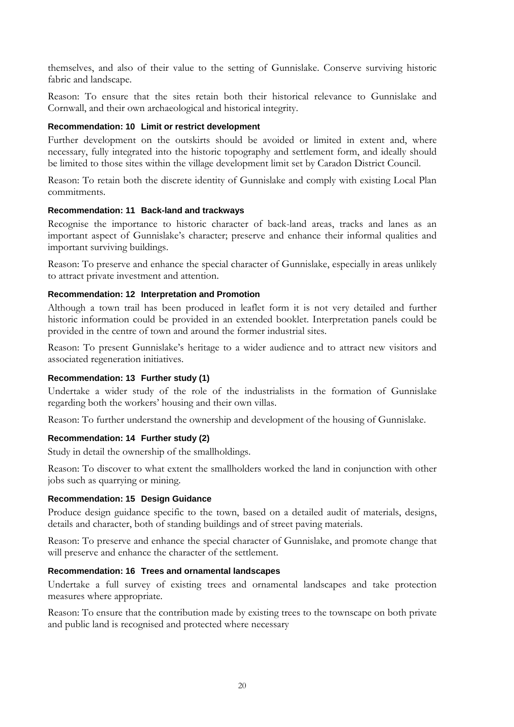themselves, and also of their value to the setting of Gunnislake. Conserve surviving historic fabric and landscape.

Reason: To ensure that the sites retain both their historical relevance to Gunnislake and Cornwall, and their own archaeological and historical integrity.

#### **Recommendation: 10 Limit or restrict development**

Further development on the outskirts should be avoided or limited in extent and, where necessary, fully integrated into the historic topography and settlement form, and ideally should be limited to those sites within the village development limit set by Caradon District Council.

Reason: To retain both the discrete identity of Gunnislake and comply with existing Local Plan commitments.

#### **Recommendation: 11 Back-land and trackways**

Recognise the importance to historic character of back-land areas, tracks and lanes as an important aspect of Gunnislake's character; preserve and enhance their informal qualities and important surviving buildings.

Reason: To preserve and enhance the special character of Gunnislake, especially in areas unlikely to attract private investment and attention.

#### **Recommendation: 12 Interpretation and Promotion**

Although a town trail has been produced in leaflet form it is not very detailed and further historic information could be provided in an extended booklet. Interpretation panels could be provided in the centre of town and around the former industrial sites.

Reason: To present Gunnislake's heritage to a wider audience and to attract new visitors and associated regeneration initiatives.

#### **Recommendation: 13 Further study (1)**

Undertake a wider study of the role of the industrialists in the formation of Gunnislake regarding both the workers' housing and their own villas.

Reason: To further understand the ownership and development of the housing of Gunnislake.

#### **Recommendation: 14 Further study (2)**

Study in detail the ownership of the smallholdings.

Reason: To discover to what extent the smallholders worked the land in conjunction with other jobs such as quarrying or mining.

#### **Recommendation: 15 Design Guidance**

Produce design guidance specific to the town, based on a detailed audit of materials, designs, details and character, both of standing buildings and of street paving materials.

Reason: To preserve and enhance the special character of Gunnislake, and promote change that will preserve and enhance the character of the settlement.

#### **Recommendation: 16 Trees and ornamental landscapes**

Undertake a full survey of existing trees and ornamental landscapes and take protection measures where appropriate.

Reason: To ensure that the contribution made by existing trees to the townscape on both private and public land is recognised and protected where necessary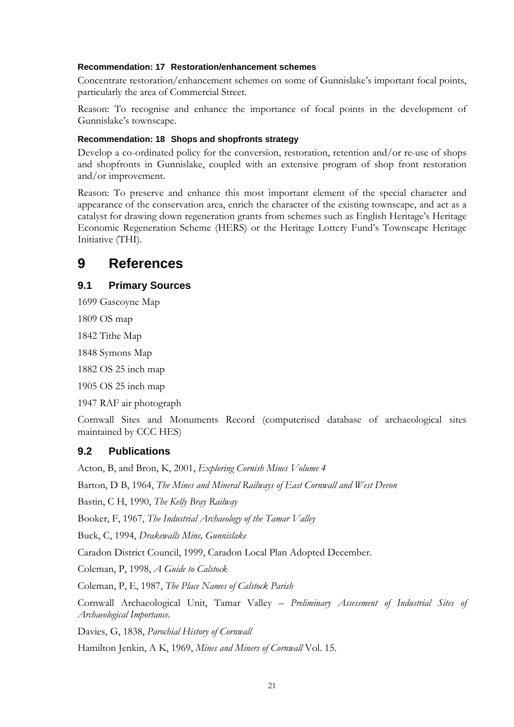#### **Recommendation: 17 Restoration/enhancement schemes**

Concentrate restoration/enhancement schemes on some of Gunnislake's important focal points, particularly the area of Commercial Street.

Reason: To recognise and enhance the importance of focal points in the development of Gunnislake's townscape.

#### **Recommendation: 18 Shops and shopfronts strategy**

Develop a co-ordinated policy for the conversion, restoration, retention and/or re-use of shops and shopfronts in Gunnislake, coupled with an extensive program of shop front restoration and/or improvement.

Reason: To preserve and enhance this most important element of the special character and appearance of the conservation area, enrich the character of the existing townscape, and act as a catalyst for drawing down regeneration grants from schemes such as English Heritage's Heritage Economic Regeneration Scheme (HERS) or the Heritage Lottery Fund's Townscape Heritage Initiative (THI).

## **9 References**

#### **9.1 Primary Sources**

1699 Gascoyne Map

1809 OS map

1842 Tithe Map

1848 Symons Map

1882 OS 25 inch map

1905 OS 25 inch map

1947 RAF air photograph

Cornwall Sites and Monuments Record (computerised database of archaeological sites maintained by CCC HES)

#### **9.2 Publications**

Acton, B, and Bron, K, 2001, *Exploring Cornish Mines Volume 4*

Barton, D B, 1964, *The Mines and Mineral Railways of East Cornwall and West Devon*

Bastin, C H, 1990, *The Kelly Bray Railway* 

Booker, F, 1967, *The Industrial Archaeology of the Tamar Valley*

Buck, C, 1994, *Drakewalls Mine, Gunnislake*

Caradon District Council, 1999, Caradon Local Plan Adopted December.

Coleman, P, 1998, *A Guide to Calstock*

Coleman, P, E, 1987, *The Place Names of Calstock Parish*

Cornwall Archaeological Unit, Tamar Valley – *Preliminary Assessment of Industrial Sites of Archaeological Importance.* 

Davies, G, 1838, *Parochial History of Cornwall*

Hamilton Jenkin, A K, 1969, *Mines and Miners of Cornwall* Vol. 15.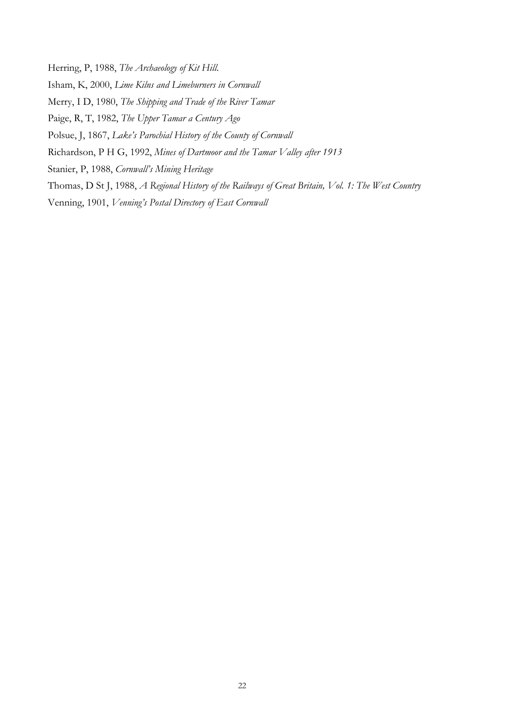Herring, P, 1988, *The Archaeology of Kit Hill*.

Isham, K, 2000, *Lime Kilns and Limeburners in Cornwall*

Merry, I D, 1980, *The Shipping and Trade of the River Tamar*

Paige, R, T, 1982, *The Upper Tamar a Century Ago*

Polsue, J, 1867, *Lake's Parochial History of the County of Cornwall*

Richardson, P H G, 1992, *Mines of Dartmoor and the Tamar Valley after 1913*

Stanier, P, 1988, *Cornwall's Mining Heritage*

Thomas, D St J, 1988, *A Regional History of the Railways of Great Britain, Vol. 1: The West Country* 

Venning, 1901, *Venning's Postal Directory of East Cornwall*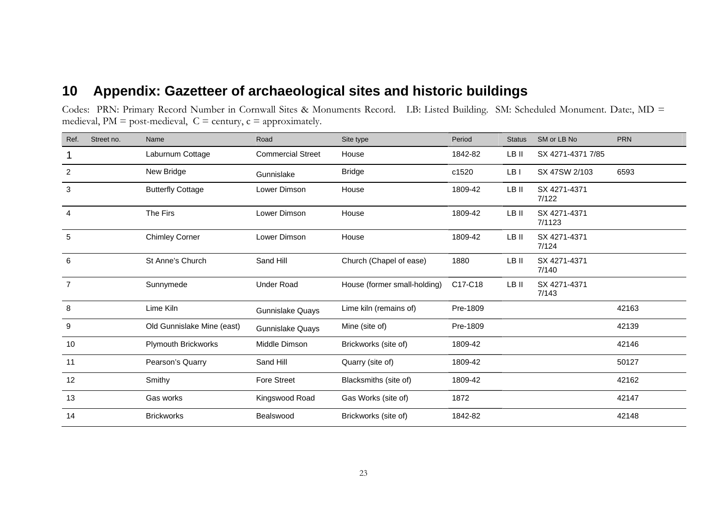## **10 Appendix: Gazetteer of archaeological sites and historic buildings**

Codes: PRN: Primary Record Number in Cornwall Sites & Monuments Record. LB: Listed Building. SM: Scheduled Monument. Date:, MD = medieval,  $PM = post-mediated$   $C = century$ ,  $c = approximately$ .

| Street no.<br>Ref. | Name                       | Road                     | Site type                    | Period   | <b>Status</b> | SM or LB No            | <b>PRN</b> |
|--------------------|----------------------------|--------------------------|------------------------------|----------|---------------|------------------------|------------|
|                    | Laburnum Cottage           | <b>Commercial Street</b> | House                        | 1842-82  | LB II         | SX 4271-4371 7/85      |            |
| 2                  | New Bridge                 | Gunnislake               | <b>Bridge</b>                | c1520    | LB I          | SX 47SW 2/103          | 6593       |
| 3                  | <b>Butterfly Cottage</b>   | Lower Dimson             | House                        | 1809-42  | LB II         | SX 4271-4371<br>7/122  |            |
| $\overline{4}$     | The Firs                   | Lower Dimson             | House                        | 1809-42  | LB II         | SX 4271-4371<br>7/1123 |            |
| 5                  | <b>Chimley Corner</b>      | Lower Dimson             | House                        | 1809-42  | LB II         | SX 4271-4371<br>7/124  |            |
| 6                  | St Anne's Church           | Sand Hill                | Church (Chapel of ease)      | 1880     | LB II         | SX 4271-4371<br>7/140  |            |
| $\overline{7}$     | Sunnymede                  | <b>Under Road</b>        | House (former small-holding) | C17-C18  | LB II         | SX 4271-4371<br>7/143  |            |
| 8                  | Lime Kiln                  | Gunnislake Quays         | Lime kiln (remains of)       | Pre-1809 |               |                        | 42163      |
| 9                  | Old Gunnislake Mine (east) | Gunnislake Quays         | Mine (site of)               | Pre-1809 |               |                        | 42139      |
| 10                 | Plymouth Brickworks        | Middle Dimson            | Brickworks (site of)         | 1809-42  |               |                        | 42146      |
| 11                 | Pearson's Quarry           | Sand Hill                | Quarry (site of)             | 1809-42  |               |                        | 50127      |
| 12                 | Smithy                     | <b>Fore Street</b>       | Blacksmiths (site of)        | 1809-42  |               |                        | 42162      |
| 13                 | Gas works                  | Kingswood Road           | Gas Works (site of)          | 1872     |               |                        | 42147      |
| 14                 | <b>Brickworks</b>          | Bealswood                | Brickworks (site of)         | 1842-82  |               |                        | 42148      |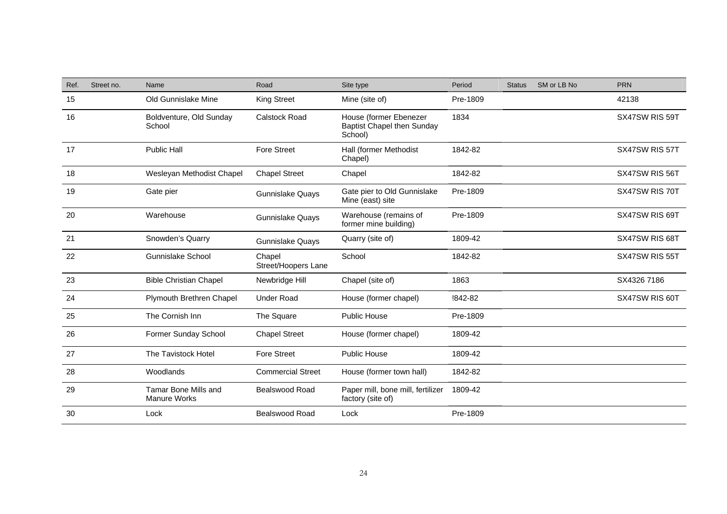| Ref. | Street no. | Name                                               | Road                          | Site type                                                              | Period   | <b>Status</b> | SM or LB No | <b>PRN</b>     |
|------|------------|----------------------------------------------------|-------------------------------|------------------------------------------------------------------------|----------|---------------|-------------|----------------|
| 15   |            | Old Gunnislake Mine                                | King Street                   | Mine (site of)                                                         | Pre-1809 |               |             | 42138          |
| 16   |            | Boldventure, Old Sunday<br>School                  | <b>Calstock Road</b>          | House (former Ebenezer<br><b>Baptist Chapel then Sunday</b><br>School) | 1834     |               |             | SX47SW RIS 59T |
| 17   |            | <b>Public Hall</b>                                 | <b>Fore Street</b>            | Hall (former Methodist<br>Chapel)                                      | 1842-82  |               |             | SX47SW RIS 57T |
| 18   |            | Wesleyan Methodist Chapel                          | <b>Chapel Street</b>          | Chapel                                                                 | 1842-82  |               |             | SX47SW RIS 56T |
| 19   |            | Gate pier                                          | <b>Gunnislake Quays</b>       | Gate pier to Old Gunnislake<br>Mine (east) site                        | Pre-1809 |               |             | SX47SW RIS 70T |
| 20   |            | Warehouse                                          | <b>Gunnislake Quays</b>       | Warehouse (remains of<br>former mine building)                         | Pre-1809 |               |             | SX47SW RIS 69T |
| 21   |            | Snowden's Quarry                                   | <b>Gunnislake Quays</b>       | Quarry (site of)                                                       | 1809-42  |               |             | SX47SW RIS 68T |
| 22   |            | <b>Gunnislake School</b>                           | Chapel<br>Street/Hoopers Lane | School                                                                 | 1842-82  |               |             | SX47SW RIS 55T |
| 23   |            | <b>Bible Christian Chapel</b>                      | Newbridge Hill                | Chapel (site of)                                                       | 1863     |               |             | SX4326 7186    |
| 24   |            | Plymouth Brethren Chapel                           | <b>Under Road</b>             | House (former chapel)                                                  | !842-82  |               |             | SX47SW RIS 60T |
| 25   |            | The Cornish Inn                                    | The Square                    | Public House                                                           | Pre-1809 |               |             |                |
| 26   |            | Former Sunday School                               | <b>Chapel Street</b>          | House (former chapel)                                                  | 1809-42  |               |             |                |
| 27   |            | The Tavistock Hotel                                | <b>Fore Street</b>            | <b>Public House</b>                                                    | 1809-42  |               |             |                |
| 28   |            | Woodlands                                          | <b>Commercial Street</b>      | House (former town hall)                                               | 1842-82  |               |             |                |
| 29   |            | <b>Tamar Bone Mills and</b><br><b>Manure Works</b> | Bealswood Road                | Paper mill, bone mill, fertilizer<br>factory (site of)                 | 1809-42  |               |             |                |
| 30   |            | Lock                                               | Bealswood Road                | Lock                                                                   | Pre-1809 |               |             |                |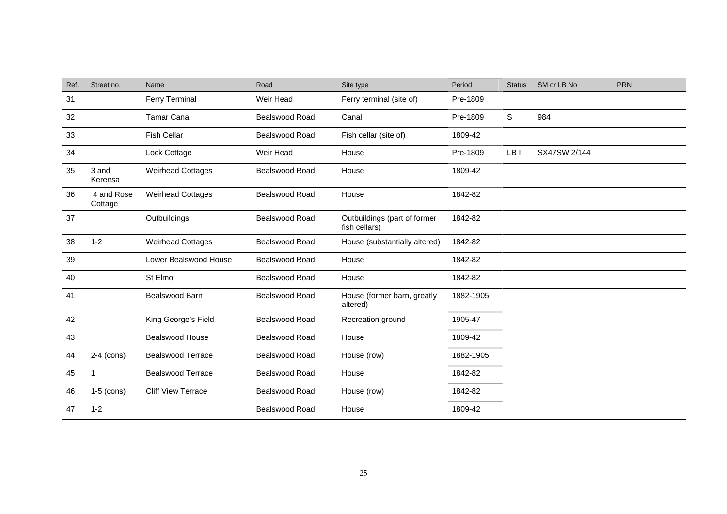| Ref. | Street no.            | Name                      | Road                  | Site type                                     | Period    | <b>Status</b> | SM or LB No  | <b>PRN</b> |
|------|-----------------------|---------------------------|-----------------------|-----------------------------------------------|-----------|---------------|--------------|------------|
| 31   |                       | <b>Ferry Terminal</b>     | Weir Head             | Ferry terminal (site of)                      | Pre-1809  |               |              |            |
| 32   |                       | <b>Tamar Canal</b>        | Bealswood Road        | Canal                                         | Pre-1809  | S             | 984          |            |
| 33   |                       | <b>Fish Cellar</b>        | Bealswood Road        | Fish cellar (site of)                         | 1809-42   |               |              |            |
| 34   |                       | Lock Cottage              | Weir Head             | House                                         | Pre-1809  | LB II         | SX47SW 2/144 |            |
| 35   | 3 and<br>Kerensa      | <b>Weirhead Cottages</b>  | Bealswood Road        | House                                         | 1809-42   |               |              |            |
| 36   | 4 and Rose<br>Cottage | <b>Weirhead Cottages</b>  | Bealswood Road        | House                                         | 1842-82   |               |              |            |
| 37   |                       | Outbuildings              | Bealswood Road        | Outbuildings (part of former<br>fish cellars) | 1842-82   |               |              |            |
| 38   | $1 - 2$               | <b>Weirhead Cottages</b>  | <b>Bealswood Road</b> | House (substantially altered)                 | 1842-82   |               |              |            |
| 39   |                       | Lower Bealswood House     | Bealswood Road        | House                                         | 1842-82   |               |              |            |
| 40   |                       | St Elmo                   | <b>Bealswood Road</b> | House                                         | 1842-82   |               |              |            |
| 41   |                       | Bealswood Barn            | Bealswood Road        | House (former barn, greatly<br>altered)       | 1882-1905 |               |              |            |
| 42   |                       | King George's Field       | <b>Bealswood Road</b> | Recreation ground                             | 1905-47   |               |              |            |
| 43   |                       | <b>Bealswood House</b>    | Bealswood Road        | House                                         | 1809-42   |               |              |            |
| 44   | $2-4$ (cons)          | <b>Bealswood Terrace</b>  | <b>Bealswood Road</b> | House (row)                                   | 1882-1905 |               |              |            |
| 45   | 1                     | <b>Bealswood Terrace</b>  | <b>Bealswood Road</b> | House                                         | 1842-82   |               |              |            |
| 46   | $1-5$ (cons)          | <b>Cliff View Terrace</b> | Bealswood Road        | House (row)                                   | 1842-82   |               |              |            |
| 47   | $1 - 2$               |                           | Bealswood Road        | House                                         | 1809-42   |               |              |            |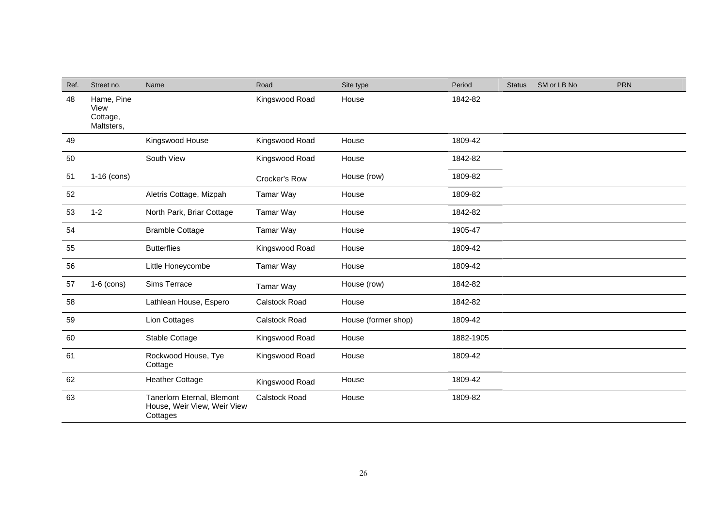| Ref. | Street no.                                   | Name                                                                  | Road                 | Site type           | Period    | <b>Status</b> | SM or LB No | <b>PRN</b> |
|------|----------------------------------------------|-----------------------------------------------------------------------|----------------------|---------------------|-----------|---------------|-------------|------------|
| 48   | Hame, Pine<br>View<br>Cottage,<br>Maltsters, |                                                                       | Kingswood Road       | House               | 1842-82   |               |             |            |
| 49   |                                              | Kingswood House                                                       | Kingswood Road       | House               | 1809-42   |               |             |            |
| 50   |                                              | South View                                                            | Kingswood Road       | House               | 1842-82   |               |             |            |
| 51   | $1-16$ (cons)                                |                                                                       | Crocker's Row        | House (row)         | 1809-82   |               |             |            |
| 52   |                                              | Aletris Cottage, Mizpah                                               | Tamar Way            | House               | 1809-82   |               |             |            |
| 53   | $1 - 2$                                      | North Park, Briar Cottage                                             | Tamar Way            | House               | 1842-82   |               |             |            |
| 54   |                                              | <b>Bramble Cottage</b>                                                | <b>Tamar Way</b>     | House               | 1905-47   |               |             |            |
| 55   |                                              | <b>Butterflies</b>                                                    | Kingswood Road       | House               | 1809-42   |               |             |            |
| 56   |                                              | Little Honeycombe                                                     | <b>Tamar Way</b>     | House               | 1809-42   |               |             |            |
| 57   | $1-6$ (cons)                                 | Sims Terrace                                                          | <b>Tamar Way</b>     | House (row)         | 1842-82   |               |             |            |
| 58   |                                              | Lathlean House, Espero                                                | <b>Calstock Road</b> | House               | 1842-82   |               |             |            |
| 59   |                                              | Lion Cottages                                                         | Calstock Road        | House (former shop) | 1809-42   |               |             |            |
| 60   |                                              | Stable Cottage                                                        | Kingswood Road       | House               | 1882-1905 |               |             |            |
| 61   |                                              | Rockwood House, Tye<br>Cottage                                        | Kingswood Road       | House               | 1809-42   |               |             |            |
| 62   |                                              | <b>Heather Cottage</b>                                                | Kingswood Road       | House               | 1809-42   |               |             |            |
| 63   |                                              | Tanerlorn Eternal, Blemont<br>House, Weir View, Weir View<br>Cottages | <b>Calstock Road</b> | House               | 1809-82   |               |             |            |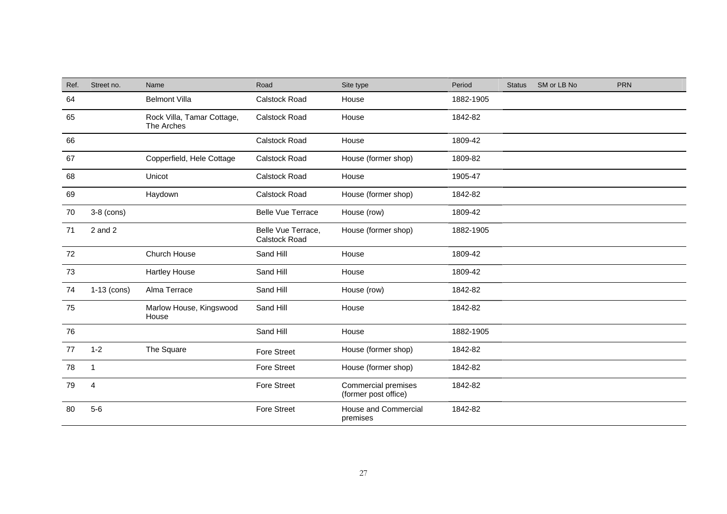| Ref. | Street no.    | Name                                     | Road                                | Site type                                   | Period    | <b>Status</b> | SM or LB No | <b>PRN</b> |
|------|---------------|------------------------------------------|-------------------------------------|---------------------------------------------|-----------|---------------|-------------|------------|
| 64   |               | <b>Belmont Villa</b>                     | Calstock Road                       | House                                       | 1882-1905 |               |             |            |
| 65   |               | Rock Villa, Tamar Cottage,<br>The Arches | <b>Calstock Road</b>                | House                                       | 1842-82   |               |             |            |
| 66   |               |                                          | Calstock Road                       | House                                       | 1809-42   |               |             |            |
| 67   |               | Copperfield, Hele Cottage                | Calstock Road                       | House (former shop)                         | 1809-82   |               |             |            |
| 68   |               | Unicot                                   | Calstock Road                       | House                                       | 1905-47   |               |             |            |
| 69   |               | Haydown                                  | Calstock Road                       | House (former shop)                         | 1842-82   |               |             |            |
| 70   | $3-8$ (cons)  |                                          | <b>Belle Vue Terrace</b>            | House (row)                                 | 1809-42   |               |             |            |
| 71   | $2$ and $2$   |                                          | Belle Vue Terrace,<br>Calstock Road | House (former shop)                         | 1882-1905 |               |             |            |
| 72   |               | Church House                             | Sand Hill                           | House                                       | 1809-42   |               |             |            |
| 73   |               | <b>Hartley House</b>                     | Sand Hill                           | House                                       | 1809-42   |               |             |            |
| 74   | $1-13$ (cons) | Alma Terrace                             | Sand Hill                           | House (row)                                 | 1842-82   |               |             |            |
| 75   |               | Marlow House, Kingswood<br>House         | Sand Hill                           | House                                       | 1842-82   |               |             |            |
| 76   |               |                                          | Sand Hill                           | House                                       | 1882-1905 |               |             |            |
| 77   | $1 - 2$       | The Square                               | <b>Fore Street</b>                  | House (former shop)                         | 1842-82   |               |             |            |
| 78   | $\mathbf{1}$  |                                          | <b>Fore Street</b>                  | House (former shop)                         | 1842-82   |               |             |            |
| 79   | 4             |                                          | <b>Fore Street</b>                  | Commercial premises<br>(former post office) | 1842-82   |               |             |            |
| 80   | $5-6$         |                                          | <b>Fore Street</b>                  | <b>House and Commercial</b><br>premises     | 1842-82   |               |             |            |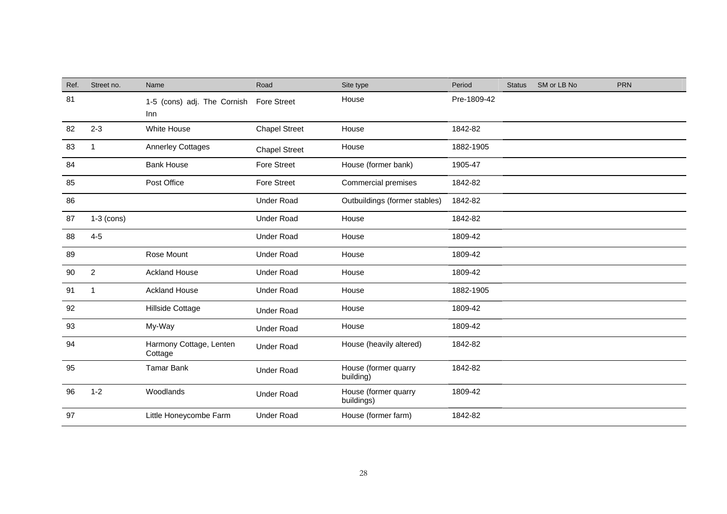| Ref. | Street no.              | Name                               | Road                 | Site type                          | Period      | <b>Status</b> | SM or LB No | <b>PRN</b> |
|------|-------------------------|------------------------------------|----------------------|------------------------------------|-------------|---------------|-------------|------------|
| 81   |                         | 1-5 (cons) adj. The Cornish<br>Inn | <b>Fore Street</b>   | House                              | Pre-1809-42 |               |             |            |
| 82   | $2 - 3$                 | White House                        | <b>Chapel Street</b> | House                              | 1842-82     |               |             |            |
| 83   | -1                      | <b>Annerley Cottages</b>           | <b>Chapel Street</b> | House                              | 1882-1905   |               |             |            |
| 84   |                         | <b>Bank House</b>                  | <b>Fore Street</b>   | House (former bank)                | 1905-47     |               |             |            |
| 85   |                         | Post Office                        | <b>Fore Street</b>   | Commercial premises                | 1842-82     |               |             |            |
| 86   |                         |                                    | <b>Under Road</b>    | Outbuildings (former stables)      | 1842-82     |               |             |            |
| 87   | $1-3$ (cons)            |                                    | <b>Under Road</b>    | House                              | 1842-82     |               |             |            |
| 88   | $4 - 5$                 |                                    | <b>Under Road</b>    | House                              | 1809-42     |               |             |            |
| 89   |                         | Rose Mount                         | <b>Under Road</b>    | House                              | 1809-42     |               |             |            |
| 90   | $\overline{2}$          | <b>Ackland House</b>               | <b>Under Road</b>    | House                              | 1809-42     |               |             |            |
| 91   | $\overline{\mathbf{1}}$ | <b>Ackland House</b>               | <b>Under Road</b>    | House                              | 1882-1905   |               |             |            |
| 92   |                         | Hillside Cottage                   | <b>Under Road</b>    | House                              | 1809-42     |               |             |            |
| 93   |                         | My-Way                             | <b>Under Road</b>    | House                              | 1809-42     |               |             |            |
| 94   |                         | Harmony Cottage, Lenten<br>Cottage | <b>Under Road</b>    | House (heavily altered)            | 1842-82     |               |             |            |
| 95   |                         | <b>Tamar Bank</b>                  | <b>Under Road</b>    | House (former quarry<br>building)  | 1842-82     |               |             |            |
| 96   | $1 - 2$                 | Woodlands                          | <b>Under Road</b>    | House (former quarry<br>buildings) | 1809-42     |               |             |            |
| 97   |                         | Little Honeycombe Farm             | <b>Under Road</b>    | House (former farm)                | 1842-82     |               |             |            |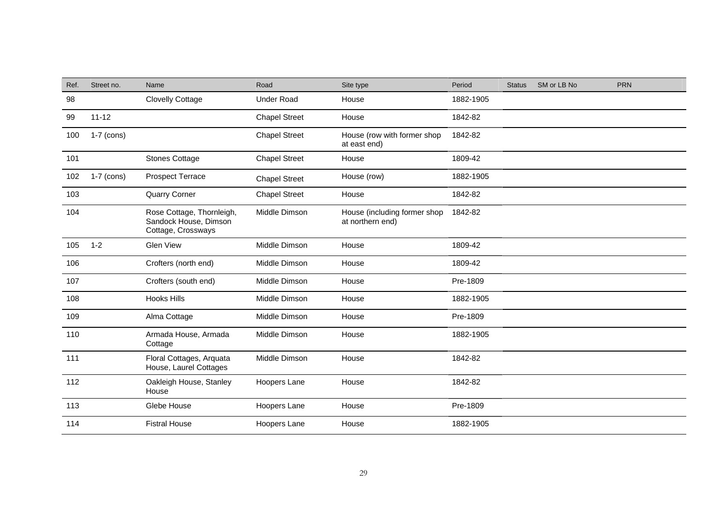| Ref. | Street no.   | Name                                                                     | Road                 | Site type                                        | Period    | <b>Status</b> | SM or LB No | <b>PRN</b> |
|------|--------------|--------------------------------------------------------------------------|----------------------|--------------------------------------------------|-----------|---------------|-------------|------------|
| 98   |              | <b>Clovelly Cottage</b>                                                  | <b>Under Road</b>    | House                                            | 1882-1905 |               |             |            |
| 99   | $11 - 12$    |                                                                          | <b>Chapel Street</b> | House                                            | 1842-82   |               |             |            |
| 100  | $1-7$ (cons) |                                                                          | <b>Chapel Street</b> | House (row with former shop<br>at east end)      | 1842-82   |               |             |            |
| 101  |              | <b>Stones Cottage</b>                                                    | <b>Chapel Street</b> | House                                            | 1809-42   |               |             |            |
| 102  | $1-7$ (cons) | Prospect Terrace                                                         | <b>Chapel Street</b> | House (row)                                      | 1882-1905 |               |             |            |
| 103  |              | <b>Quarry Corner</b>                                                     | <b>Chapel Street</b> | House                                            | 1842-82   |               |             |            |
| 104  |              | Rose Cottage, Thornleigh,<br>Sandock House, Dimson<br>Cottage, Crossways | Middle Dimson        | House (including former shop<br>at northern end) | 1842-82   |               |             |            |
| 105  | $1 - 2$      | <b>Glen View</b>                                                         | Middle Dimson        | House                                            | 1809-42   |               |             |            |
| 106  |              | Crofters (north end)                                                     | Middle Dimson        | House                                            | 1809-42   |               |             |            |
| 107  |              | Crofters (south end)                                                     | Middle Dimson        | House                                            | Pre-1809  |               |             |            |
| 108  |              | <b>Hooks Hills</b>                                                       | Middle Dimson        | House                                            | 1882-1905 |               |             |            |
| 109  |              | Alma Cottage                                                             | Middle Dimson        | House                                            | Pre-1809  |               |             |            |
| 110  |              | Armada House, Armada<br>Cottage                                          | Middle Dimson        | House                                            | 1882-1905 |               |             |            |
| 111  |              | Floral Cottages, Arquata<br>House, Laurel Cottages                       | Middle Dimson        | House                                            | 1842-82   |               |             |            |
| 112  |              | Oakleigh House, Stanley<br>House                                         | Hoopers Lane         | House                                            | 1842-82   |               |             |            |
| 113  |              | Glebe House                                                              | Hoopers Lane         | House                                            | Pre-1809  |               |             |            |
| 114  |              | <b>Fistral House</b>                                                     | Hoopers Lane         | House                                            | 1882-1905 |               |             |            |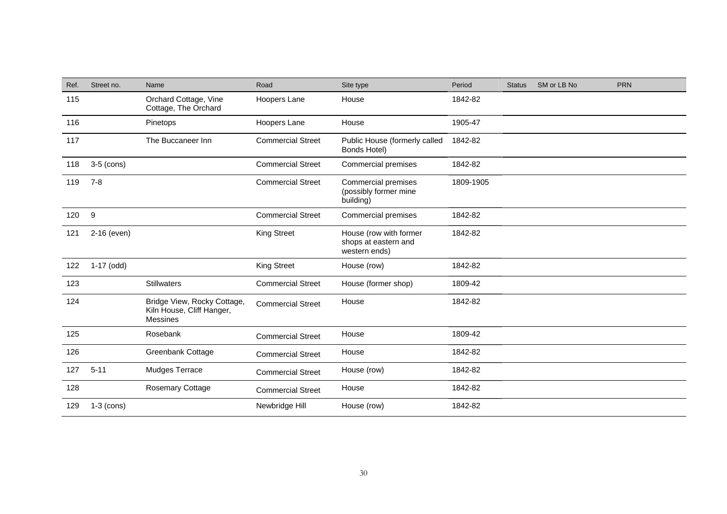| Ref. | Street no.   | Name                                                                        | Road                     | Site type                                                        | Period    | <b>Status</b> | SM or LB No | <b>PRN</b> |
|------|--------------|-----------------------------------------------------------------------------|--------------------------|------------------------------------------------------------------|-----------|---------------|-------------|------------|
| 115  |              | Orchard Cottage, Vine<br>Cottage, The Orchard                               | Hoopers Lane             | House                                                            | 1842-82   |               |             |            |
| 116  |              | Pinetops                                                                    | Hoopers Lane             | House                                                            | 1905-47   |               |             |            |
| 117  |              | The Buccaneer Inn                                                           | <b>Commercial Street</b> | Public House (formerly called<br>Bonds Hotel)                    | 1842-82   |               |             |            |
| 118  | $3-5$ (cons) |                                                                             | <b>Commercial Street</b> | Commercial premises                                              | 1842-82   |               |             |            |
| 119  | $7 - 8$      |                                                                             | <b>Commercial Street</b> | <b>Commercial premises</b><br>(possibly former mine<br>building) | 1809-1905 |               |             |            |
| 120  | 9            |                                                                             | <b>Commercial Street</b> | Commercial premises                                              | 1842-82   |               |             |            |
| 121  | 2-16 (even)  |                                                                             | <b>King Street</b>       | House (row with former<br>shops at eastern and<br>western ends)  | 1842-82   |               |             |            |
| 122  | $1-17$ (odd) |                                                                             | <b>King Street</b>       | House (row)                                                      | 1842-82   |               |             |            |
| 123  |              | <b>Stillwaters</b>                                                          | <b>Commercial Street</b> | House (former shop)                                              | 1809-42   |               |             |            |
| 124  |              | Bridge View, Rocky Cottage,<br>Kiln House, Cliff Hanger,<br><b>Messines</b> | <b>Commercial Street</b> | House                                                            | 1842-82   |               |             |            |
| 125  |              | Rosebank                                                                    | <b>Commercial Street</b> | House                                                            | 1809-42   |               |             |            |
| 126  |              | Greenbank Cottage                                                           | <b>Commercial Street</b> | House                                                            | 1842-82   |               |             |            |
| 127  | $5 - 11$     | Mudges Terrace                                                              | <b>Commercial Street</b> | House (row)                                                      | 1842-82   |               |             |            |
| 128  |              | Rosemary Cottage                                                            | <b>Commercial Street</b> | House                                                            | 1842-82   |               |             |            |
| 129  | $1-3$ (cons) |                                                                             | Newbridge Hill           | House (row)                                                      | 1842-82   |               |             |            |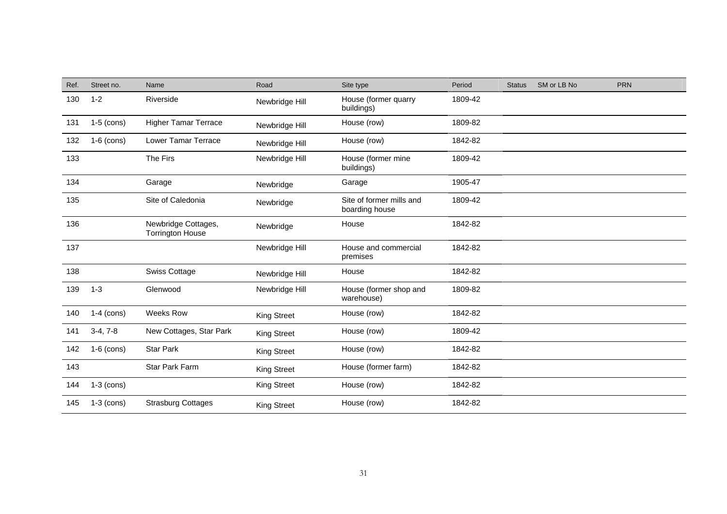| Ref. | Street no.   | Name                                           | Road               | Site type                                  | Period  | <b>Status</b> | SM or LB No | <b>PRN</b> |
|------|--------------|------------------------------------------------|--------------------|--------------------------------------------|---------|---------------|-------------|------------|
| 130  | $1 - 2$      | Riverside                                      | Newbridge Hill     | House (former quarry<br>buildings)         | 1809-42 |               |             |            |
| 131  | $1-5$ (cons) | <b>Higher Tamar Terrace</b>                    | Newbridge Hill     | House (row)                                | 1809-82 |               |             |            |
| 132  | $1-6$ (cons) | <b>Lower Tamar Terrace</b>                     | Newbridge Hill     | House (row)                                | 1842-82 |               |             |            |
| 133  |              | The Firs                                       | Newbridge Hill     | House (former mine<br>buildings)           | 1809-42 |               |             |            |
| 134  |              | Garage                                         | Newbridge          | Garage                                     | 1905-47 |               |             |            |
| 135  |              | Site of Caledonia                              | Newbridge          | Site of former mills and<br>boarding house | 1809-42 |               |             |            |
| 136  |              | Newbridge Cottages,<br><b>Torrington House</b> | Newbridge          | House                                      | 1842-82 |               |             |            |
| 137  |              |                                                | Newbridge Hill     | House and commercial<br>premises           | 1842-82 |               |             |            |
| 138  |              | <b>Swiss Cottage</b>                           | Newbridge Hill     | House                                      | 1842-82 |               |             |            |
| 139  | $1 - 3$      | Glenwood                                       | Newbridge Hill     | House (former shop and<br>warehouse)       | 1809-82 |               |             |            |
| 140  | $1-4$ (cons) | Weeks Row                                      | <b>King Street</b> | House (row)                                | 1842-82 |               |             |            |
| 141  | $3-4, 7-8$   | New Cottages, Star Park                        | <b>King Street</b> | House (row)                                | 1809-42 |               |             |            |
| 142  | $1-6$ (cons) | <b>Star Park</b>                               | <b>King Street</b> | House (row)                                | 1842-82 |               |             |            |
| 143  |              | <b>Star Park Farm</b>                          | <b>King Street</b> | House (former farm)                        | 1842-82 |               |             |            |
| 144  | $1-3$ (cons) |                                                | <b>King Street</b> | House (row)                                | 1842-82 |               |             |            |
| 145  | $1-3$ (cons) | <b>Strasburg Cottages</b>                      | <b>King Street</b> | House (row)                                | 1842-82 |               |             |            |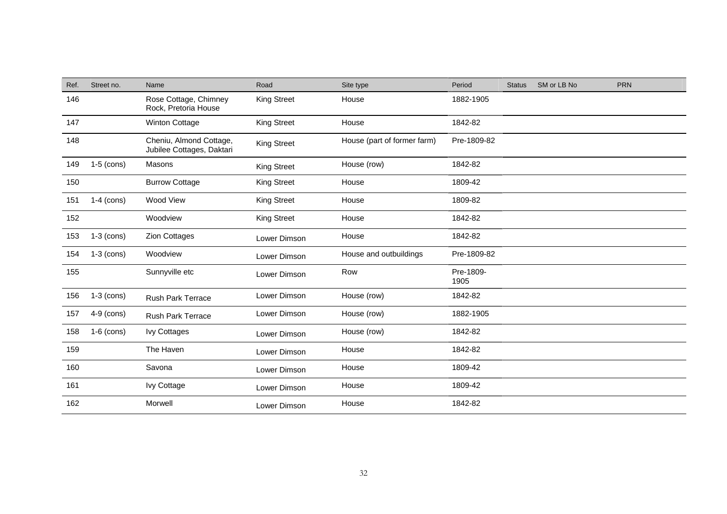| Ref. | Street no.   | Name                                                 | Road               | Site type                   | Period            | <b>Status</b> | SM or LB No | <b>PRN</b> |
|------|--------------|------------------------------------------------------|--------------------|-----------------------------|-------------------|---------------|-------------|------------|
| 146  |              | Rose Cottage, Chimney<br>Rock, Pretoria House        | <b>King Street</b> | House                       | 1882-1905         |               |             |            |
| 147  |              | Winton Cottage                                       | <b>King Street</b> | House                       | 1842-82           |               |             |            |
| 148  |              | Cheniu, Almond Cottage,<br>Jubilee Cottages, Daktari | <b>King Street</b> | House (part of former farm) | Pre-1809-82       |               |             |            |
| 149  | $1-5$ (cons) | Masons                                               | <b>King Street</b> | House (row)                 | 1842-82           |               |             |            |
| 150  |              | <b>Burrow Cottage</b>                                | <b>King Street</b> | House                       | 1809-42           |               |             |            |
| 151  | $1-4$ (cons) | Wood View                                            | <b>King Street</b> | House                       | 1809-82           |               |             |            |
| 152  |              | Woodview                                             | <b>King Street</b> | House                       | 1842-82           |               |             |            |
| 153  | $1-3$ (cons) | <b>Zion Cottages</b>                                 | Lower Dimson       | House                       | 1842-82           |               |             |            |
| 154  | $1-3$ (cons) | Woodview                                             | Lower Dimson       | House and outbuildings      | Pre-1809-82       |               |             |            |
| 155  |              | Sunnyville etc                                       | Lower Dimson       | Row                         | Pre-1809-<br>1905 |               |             |            |
| 156  | $1-3$ (cons) | <b>Rush Park Terrace</b>                             | Lower Dimson       | House (row)                 | 1842-82           |               |             |            |
| 157  | $4-9$ (cons) | <b>Rush Park Terrace</b>                             | Lower Dimson       | House (row)                 | 1882-1905         |               |             |            |
| 158  | $1-6$ (cons) | <b>Ivy Cottages</b>                                  | Lower Dimson       | House (row)                 | 1842-82           |               |             |            |
| 159  |              | The Haven                                            | Lower Dimson       | House                       | 1842-82           |               |             |            |
| 160  |              | Savona                                               | Lower Dimson       | House                       | 1809-42           |               |             |            |
| 161  |              | Ivy Cottage                                          | Lower Dimson       | House                       | 1809-42           |               |             |            |
| 162  |              | Morwell                                              | Lower Dimson       | House                       | 1842-82           |               |             |            |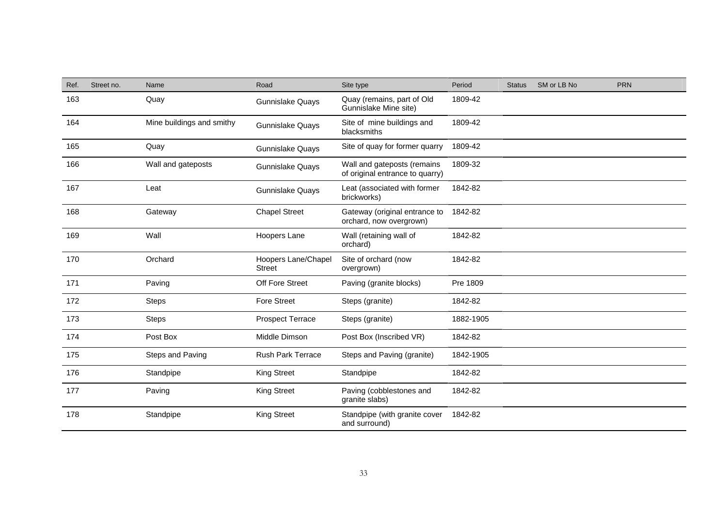| Ref. | Street no. | Name                      | Road                                 | Site type                                                      | Period    | <b>Status</b> | SM or LB No | <b>PRN</b> |
|------|------------|---------------------------|--------------------------------------|----------------------------------------------------------------|-----------|---------------|-------------|------------|
| 163  |            | Quay                      | Gunnislake Quays                     | Quay (remains, part of Old<br>Gunnislake Mine site)            | 1809-42   |               |             |            |
| 164  |            | Mine buildings and smithy | Gunnislake Quays                     | Site of mine buildings and<br>blacksmiths                      | 1809-42   |               |             |            |
| 165  |            | Quay                      | Gunnislake Quays                     | Site of quay for former quarry                                 | 1809-42   |               |             |            |
| 166  |            | Wall and gateposts        | <b>Gunnislake Quays</b>              | Wall and gateposts (remains<br>of original entrance to quarry) | 1809-32   |               |             |            |
| 167  |            | Leat                      | Gunnislake Quays                     | Leat (associated with former<br>brickworks)                    | 1842-82   |               |             |            |
| 168  |            | Gateway                   | <b>Chapel Street</b>                 | Gateway (original entrance to<br>orchard, now overgrown)       | 1842-82   |               |             |            |
| 169  |            | Wall                      | Hoopers Lane                         | Wall (retaining wall of<br>orchard)                            | 1842-82   |               |             |            |
| 170  |            | Orchard                   | Hoopers Lane/Chapel<br><b>Street</b> | Site of orchard (now<br>overgrown)                             | 1842-82   |               |             |            |
| 171  |            | Paving                    | Off Fore Street                      | Paving (granite blocks)                                        | Pre 1809  |               |             |            |
| 172  |            | <b>Steps</b>              | <b>Fore Street</b>                   | Steps (granite)                                                | 1842-82   |               |             |            |
| 173  |            | <b>Steps</b>              | <b>Prospect Terrace</b>              | Steps (granite)                                                | 1882-1905 |               |             |            |
| 174  |            | Post Box                  | Middle Dimson                        | Post Box (Inscribed VR)                                        | 1842-82   |               |             |            |
| 175  |            | Steps and Paving          | Rush Park Terrace                    | Steps and Paving (granite)                                     | 1842-1905 |               |             |            |
| 176  |            | Standpipe                 | <b>King Street</b>                   | Standpipe                                                      | 1842-82   |               |             |            |
| 177  |            | Paving                    | <b>King Street</b>                   | Paving (cobblestones and<br>granite slabs)                     | 1842-82   |               |             |            |
| 178  |            | Standpipe                 | <b>King Street</b>                   | Standpipe (with granite cover<br>and surround)                 | 1842-82   |               |             |            |